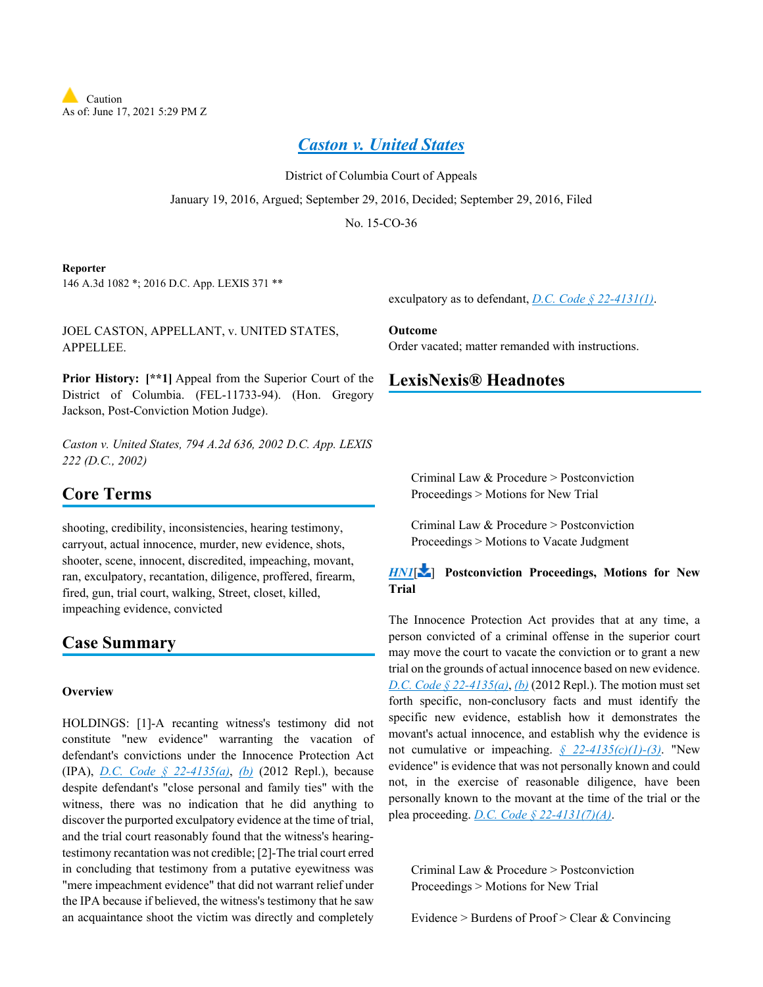

*[Caston v. United States](https://advance.lexis.com/api/document?collection=cases&id=urn:contentItem:5KTR-YXJ1-F04C-F09M-00000-00&context=1000516)*

District of Columbia Court of Appeals January 19, 2016, Argued; September 29, 2016, Decided; September 29, 2016, Filed No. 15-CO-36

#### **Reporter**

146 A.3d 1082 \*; 2016 D.C. App. LEXIS 371 \*\*

JOEL CASTON, APPELLANT, v. UNITED STATES, APPELLEE.

**Prior History:**  $[**1]$  Appeal from the Superior Court of the District of Columbia. (FEL-11733-94). (Hon. Gregory Jackson, Post-Conviction Motion Judge).

*Caston v. United States, 794 A.2d 636, 2002 D.C. App. LEXIS 222 (D.C., 2002)*

## **Core Terms**

shooting, credibility, inconsistencies, hearing testimony, carryout, actual innocence, murder, new evidence, shots, shooter, scene, innocent, discredited, impeaching, movant, ran, exculpatory, recantation, diligence, proffered, firearm, fired, gun, trial court, walking, Street, closet, killed, impeaching evidence, convicted

## **Case Summary**

### **Overview**

HOLDINGS: [1]-A recanting witness's testimony did not constitute "new evidence" warranting the vacation of defendant's convictions under the Innocence Protection Act (IPA), *[D.C. Code § 22-4135\(a\)](https://advance.lexis.com/api/document?collection=statutes-legislation&id=urn:contentItem:5CC4-MNR1-6NSS-B3WX-00000-00&context=1000516)*, *[\(b\)](https://advance.lexis.com/api/document?collection=statutes-legislation&id=urn:contentItem:5CC4-MNR1-6NSS-B3WX-00000-00&context=1000516)* (2012 Repl.), because despite defendant's "close personal and family ties" with the witness, there was no indication that he did anything to discover the purported exculpatory evidence at the time of trial, and the trial court reasonably found that the witness's hearingtestimony recantation was not credible; [2]-The trial court erred in concluding that testimony from a putative eyewitness was "mere impeachment evidence" that did not warrant relief under the IPA because if believed, the witness's testimony that he saw an acquaintance shoot the victim was directly and completely

exculpatory as to defendant, *[D.C. Code § 22-4131\(1\)](https://advance.lexis.com/api/document?collection=statutes-legislation&id=urn:contentItem:5CC4-MNR1-6NSS-B3WS-00000-00&context=1000516)*.

**Outcome** Order vacated; matter remanded with instructions.

## **LexisNexis® Headnotes**

Criminal Law & Procedure > Postconviction Proceedings > Motions for New Trial

Criminal Law & Procedure > Postconviction Proceedings > Motions to Vacate Judgment

## *[HN1](https://advance.lexis.com/api/document?collection=cases&id=urn:contentItem:5KTR-YXJ1-F04C-F09M-00000-00&context=1000516&link=LNHNREFclscc1)*[\[](#page-6-0) ] **Postconviction Proceedings, Motions for New Trial**

The Innocence Protection Act provides that at any time, a person convicted of a criminal offense in the superior court may move the court to vacate the conviction or to grant a new trial on the grounds of actual innocence based on new evidence. *[D.C. Code § 22-4135\(a\)](https://advance.lexis.com/api/document?collection=statutes-legislation&id=urn:contentItem:5CC4-MNR1-6NSS-B3WX-00000-00&context=1000516)*, *[\(b\)](https://advance.lexis.com/api/document?collection=statutes-legislation&id=urn:contentItem:5CC4-MNR1-6NSS-B3WX-00000-00&context=1000516)* (2012 Repl.). The motion must set forth specific, non-conclusory facts and must identify the specific new evidence, establish how it demonstrates the movant's actual innocence, and establish why the evidence is not cumulative or impeaching. *[§ 22-4135\(c\)\(1\)-\(3\)](https://advance.lexis.com/api/document?collection=statutes-legislation&id=urn:contentItem:5CC4-MNR1-6NSS-B3WX-00000-00&context=1000516)*. "New evidence" is evidence that was not personally known and could not, in the exercise of reasonable diligence, have been personally known to the movant at the time of the trial or the plea proceeding. *[D.C. Code § 22-4131\(7\)\(A\)](https://advance.lexis.com/api/document?collection=statutes-legislation&id=urn:contentItem:5CC4-MNR1-6NSS-B3WS-00000-00&context=1000516)*.

<span id="page-0-0"></span>Criminal Law & Procedure > Postconviction Proceedings > Motions for New Trial

Evidence > Burdens of Proof > Clear & Convincing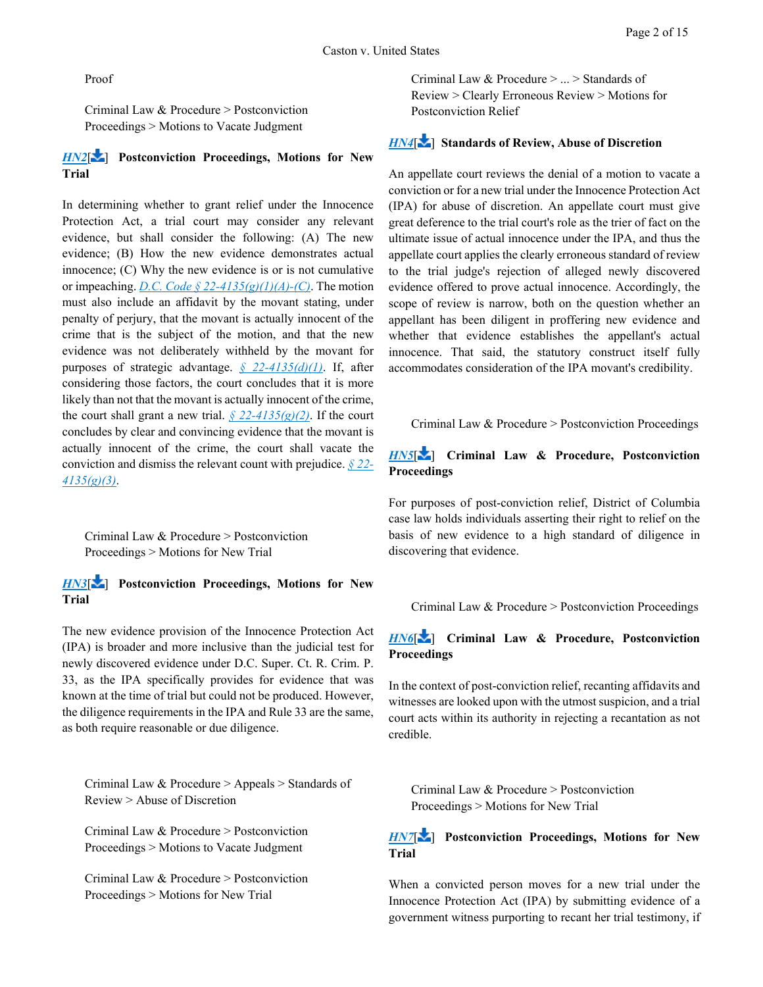Proof

Criminal Law & Procedure > Postconviction Proceedings > Motions to Vacate Judgment

## *[HN2](https://advance.lexis.com/api/document?collection=cases&id=urn:contentItem:5KTR-YXJ1-F04C-F09M-00000-00&context=1000516&link=LNHNREFclscc2)*[\[](#page-6-1) ] **Postconviction Proceedings, Motions for New Trial**

In determining whether to grant relief under the Innocence Protection Act, a trial court may consider any relevant evidence, but shall consider the following: (A) The new evidence; (B) How the new evidence demonstrates actual innocence; (C) Why the new evidence is or is not cumulative or impeaching. *[D.C. Code § 22-4135\(g\)\(1\)\(A\)-\(C\)](https://advance.lexis.com/api/document?collection=statutes-legislation&id=urn:contentItem:5CC4-MNR1-6NSS-B3WX-00000-00&context=1000516)*. The motion must also include an affidavit by the movant stating, under penalty of perjury, that the movant is actually innocent of the crime that is the subject of the motion, and that the new evidence was not deliberately withheld by the movant for purposes of strategic advantage. *[§ 22-4135\(d\)\(1\)](https://advance.lexis.com/api/document?collection=statutes-legislation&id=urn:contentItem:5CC4-MNR1-6NSS-B3WX-00000-00&context=1000516)*. If, after considering those factors, the court concludes that it is more likely than not that the movant is actually innocent of the crime, the court shall grant a new trial.  $\frac{\sqrt{5}}{22 - \frac{4}{35}}$ (g)(2). If the court concludes by clear and convincing evidence that the movant is actually innocent of the crime, the court shall vacate the conviction and dismiss the relevant count with prejudice. *[§ 22-](https://advance.lexis.com/api/document?collection=statutes-legislation&id=urn:contentItem:5CC4-MNR1-6NSS-B3WX-00000-00&context=1000516) [4135\(g\)\(3\)](https://advance.lexis.com/api/document?collection=statutes-legislation&id=urn:contentItem:5CC4-MNR1-6NSS-B3WX-00000-00&context=1000516)*.

<span id="page-1-0"></span>Criminal Law & Procedure > Postconviction Proceedings > Motions for New Trial

## *[HN3](https://advance.lexis.com/api/document?collection=cases&id=urn:contentItem:5KTR-YXJ1-F04C-F09M-00000-00&context=1000516&link=LNHNREFclscc3)*[\[](#page-6-2) ] **Postconviction Proceedings, Motions for New Trial**

The new evidence provision of the Innocence Protection Act (IPA) is broader and more inclusive than the judicial test for newly discovered evidence under D.C. Super. Ct. R. Crim. P. 33, as the IPA specifically provides for evidence that was known at the time of trial but could not be produced. However, the diligence requirements in the IPA and Rule 33 are the same, as both require reasonable or due diligence.

<span id="page-1-1"></span>Criminal Law & Procedure > Appeals > Standards of Review > Abuse of Discretion

Criminal Law & Procedure > Postconviction Proceedings > Motions to Vacate Judgment

Criminal Law & Procedure > Postconviction Proceedings > Motions for New Trial

Criminal Law & Procedure > ... > Standards of Review > Clearly Erroneous Review > Motions for Postconviction Relief

## *[HN4](https://advance.lexis.com/api/document?collection=cases&id=urn:contentItem:5KTR-YXJ1-F04C-F09M-00000-00&context=1000516&link=LNHNREFclscc4)*[\[](#page-7-0) ] **Standards of Review, Abuse of Discretion**

An appellate court reviews the denial of a motion to vacate a conviction or for a new trial under the Innocence Protection Act (IPA) for abuse of discretion. An appellate court must give great deference to the trial court's role as the trier of fact on the ultimate issue of actual innocence under the IPA, and thus the appellate court applies the clearly erroneous standard of review to the trial judge's rejection of alleged newly discovered evidence offered to prove actual innocence. Accordingly, the scope of review is narrow, both on the question whether an appellant has been diligent in proffering new evidence and whether that evidence establishes the appellant's actual innocence. That said, the statutory construct itself fully accommodates consideration of the IPA movant's credibility.

<span id="page-1-2"></span>Criminal Law & Procedure > Postconviction Proceedings

## *[HN5](https://advance.lexis.com/api/document?collection=cases&id=urn:contentItem:5KTR-YXJ1-F04C-F09M-00000-00&context=1000516&link=LNHNREFclscc5)*[\[](#page-8-0) ] **Criminal Law & Procedure, Postconviction Proceedings**

For purposes of post-conviction relief, District of Columbia case law holds individuals asserting their right to relief on the basis of new evidence to a high standard of diligence in discovering that evidence.

<span id="page-1-3"></span>Criminal Law & Procedure > Postconviction Proceedings

## *[HN6](https://advance.lexis.com/api/document?collection=cases&id=urn:contentItem:5KTR-YXJ1-F04C-F09M-00000-00&context=1000516&link=LNHNREFclscc6)*[\[](#page-9-0) ] **Criminal Law & Procedure, Postconviction Proceedings**

In the context of post-conviction relief, recanting affidavits and witnesses are looked upon with the utmost suspicion, and a trial court acts within its authority in rejecting a recantation as not credible.

<span id="page-1-4"></span>Criminal Law & Procedure > Postconviction Proceedings > Motions for New Trial

## *[HN7](https://advance.lexis.com/api/document?collection=cases&id=urn:contentItem:5KTR-YXJ1-F04C-F09M-00000-00&context=1000516&link=LNHNREFclscc7)*[\[](#page-9-1) ] **Postconviction Proceedings, Motions for New Trial**

When a convicted person moves for a new trial under the Innocence Protection Act (IPA) by submitting evidence of a government witness purporting to recant her trial testimony, if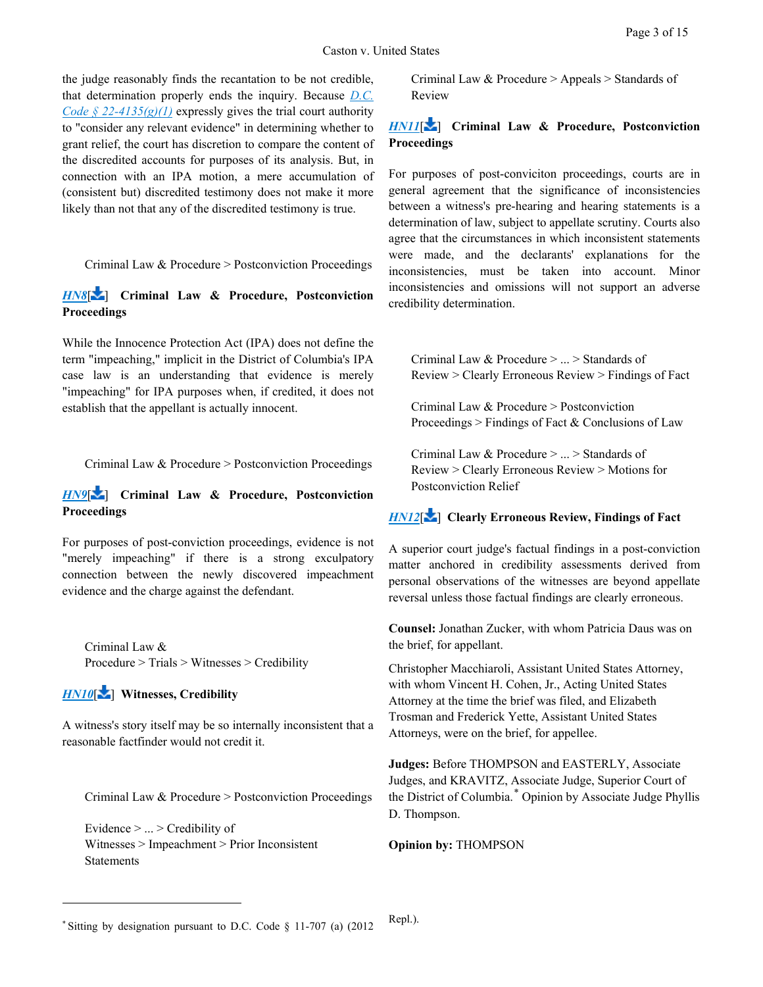the judge reasonably finds the recantation to be not credible, that determination properly ends the inquiry. Because *[D.C.](https://advance.lexis.com/api/document?collection=statutes-legislation&id=urn:contentItem:5CC4-MNR1-6NSS-B3WX-00000-00&context=1000516)  [Code § 22-4135\(g\)\(1\)](https://advance.lexis.com/api/document?collection=statutes-legislation&id=urn:contentItem:5CC4-MNR1-6NSS-B3WX-00000-00&context=1000516)* expressly gives the trial court authority to "consider any relevant evidence" in determining whether to grant relief, the court has discretion to compare the content of the discredited accounts for purposes of its analysis. But, in connection with an IPA motion, a mere accumulation of (consistent but) discredited testimony does not make it more likely than not that any of the discredited testimony is true.

<span id="page-2-1"></span>Criminal Law & Procedure > Postconviction Proceedings

*[HN8](https://advance.lexis.com/api/document?collection=cases&id=urn:contentItem:5KTR-YXJ1-F04C-F09M-00000-00&context=1000516&link=LNHNREFclscc8)*[\[](#page-10-0) ] **Criminal Law & Procedure, Postconviction Proceedings**

While the Innocence Protection Act (IPA) does not define the term "impeaching," implicit in the District of Columbia's IPA case law is an understanding that evidence is merely "impeaching" for IPA purposes when, if credited, it does not establish that the appellant is actually innocent.

<span id="page-2-2"></span>Criminal Law & Procedure > Postconviction Proceedings

*[HN9](https://advance.lexis.com/api/document?collection=cases&id=urn:contentItem:5KTR-YXJ1-F04C-F09M-00000-00&context=1000516&link=LNHNREFclscc9)*[\[](#page-10-1) ] **Criminal Law & Procedure, Postconviction Proceedings**

For purposes of post-conviction proceedings, evidence is not "merely impeaching" if there is a strong exculpatory connection between the newly discovered impeachment evidence and the charge against the defendant.

<span id="page-2-3"></span>Criminal Law & Procedure > Trials > Witnesses > Credibility

# *[HN10](https://advance.lexis.com/api/document?collection=cases&id=urn:contentItem:5KTR-YXJ1-F04C-F09M-00000-00&context=1000516&link=LNHNREFclscc10)*[\[](#page-10-2) ] **Witnesses, Credibility**

 $\overline{a}$ 

<span id="page-2-4"></span>A witness's story itself may be so internally inconsistent that a reasonable factfinder would not credit it.

Criminal Law & Procedure > Postconviction Proceedings

Evidence > ... > Credibility of Witnesses > Impeachment > Prior Inconsistent **Statements** 

Criminal Law & Procedure > Appeals > Standards of Review

## *[HN11](https://advance.lexis.com/api/document?collection=cases&id=urn:contentItem:5KTR-YXJ1-F04C-F09M-00000-00&context=1000516&link=LNHNREFclscc11)*[\[](#page-11-0) ] **Criminal Law & Procedure, Postconviction Proceedings**

For purposes of post-conviciton proceedings, courts are in general agreement that the significance of inconsistencies between a witness's pre-hearing and hearing statements is a determination of law, subject to appellate scrutiny. Courts also agree that the circumstances in which inconsistent statements were made, and the declarants' explanations for the inconsistencies, must be taken into account. Minor inconsistencies and omissions will not support an adverse credibility determination.

<span id="page-2-5"></span>Criminal Law & Procedure > ... > Standards of Review > Clearly Erroneous Review > Findings of Fact

Criminal Law & Procedure > Postconviction Proceedings > Findings of Fact & Conclusions of Law

Criminal Law & Procedure > ... > Standards of Review > Clearly Erroneous Review > Motions for Postconviction Relief

## *[HN12](https://advance.lexis.com/api/document?collection=cases&id=urn:contentItem:5KTR-YXJ1-F04C-F09M-00000-00&context=1000516&link=LNHNREFclscc12)*[\[](#page-13-0) ] **Clearly Erroneous Review, Findings of Fact**

A superior court judge's factual findings in a post-conviction matter anchored in credibility assessments derived from personal observations of the witnesses are beyond appellate reversal unless those factual findings are clearly erroneous.

**Counsel:** Jonathan Zucker, with whom Patricia Daus was on the brief, for appellant.

Christopher Macchiaroli, Assistant United States Attorney, with whom Vincent H. Cohen, Jr., Acting United States Attorney at the time the brief was filed, and Elizabeth Trosman and Frederick Yette, Assistant United States Attorneys, were on the brief, for appellee.

**Judges:** Before THOMPSON and EASTERLY, Associate Judges, and KRAVITZ, Associate Judge, Superior Court of the District of Columbia.[\\*](#page-2-0) Opinion by Associate Judge Phyllis D. Thompson.

**Opinion by:** THOMPSON

<span id="page-2-0"></span><sup>\*</sup> Sitting by designation pursuant to D.C. Code § 11-707 (a) (2012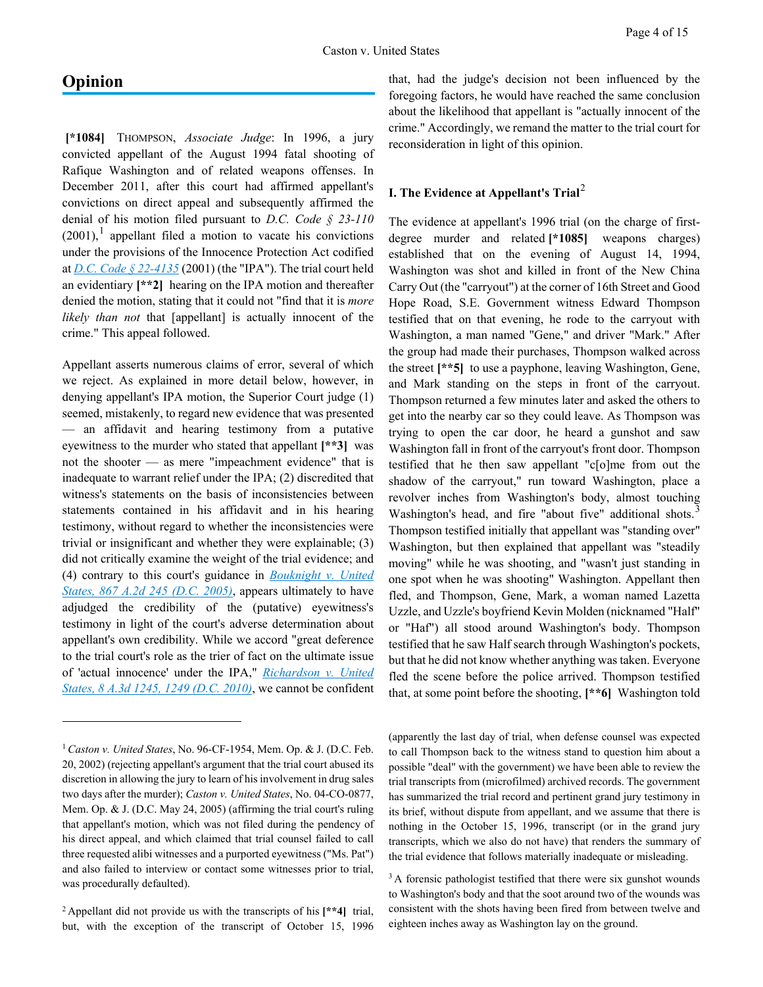# **Opinion**

 $\overline{a}$ 

**[\*1084]** THOMPSON, *Associate Judge*: In 1996, a jury convicted appellant of the August 1994 fatal shooting of Rafique Washington and of related weapons offenses. In December 2011, after this court had affirmed appellant's convictions on direct appeal and subsequently affirmed the denial of his motion filed pursuant to *D.C. Code § 23-110*  $(2001)$  $(2001)$  $(2001)$ ,<sup>1</sup> appellant filed a motion to vacate his convictions under the provisions of the Innocence Protection Act codified at *[D.C. Code § 22-4135](https://advance.lexis.com/api/document?collection=statutes-legislation&id=urn:contentItem:5CC4-MNR1-6NSS-B3WX-00000-00&context=1000516)* (2001) (the "IPA"). The trial court held an evidentiary **[\*\*2]** hearing on the IPA motion and thereafter denied the motion, stating that it could not "find that it is *more likely than not* that [appellant] is actually innocent of the crime." This appeal followed.

Appellant asserts numerous claims of error, several of which we reject. As explained in more detail below, however, in denying appellant's IPA motion, the Superior Court judge (1) seemed, mistakenly, to regard new evidence that was presented — an affidavit and hearing testimony from a putative eyewitness to the murder who stated that appellant **[\*\*3]** was not the shooter — as mere "impeachment evidence" that is inadequate to warrant relief under the IPA; (2) discredited that witness's statements on the basis of inconsistencies between statements contained in his affidavit and in his hearing testimony, without regard to whether the inconsistencies were trivial or insignificant and whether they were explainable; (3) did not critically examine the weight of the trial evidence; and (4) contrary to this court's guidance in *[Bouknight v. United](https://advance.lexis.com/api/document?collection=cases&id=urn:contentItem:4FD6-KW10-0039-42WC-00000-00&context=1000516)  [States, 867 A.2d 245 \(D.C. 2005\)](https://advance.lexis.com/api/document?collection=cases&id=urn:contentItem:4FD6-KW10-0039-42WC-00000-00&context=1000516)*, appears ultimately to have adjudged the credibility of the (putative) eyewitness's testimony in light of the court's adverse determination about appellant's own credibility. While we accord "great deference to the trial court's role as the trier of fact on the ultimate issue of 'actual innocence' under the IPA," *[Richardson v. United](https://advance.lexis.com/api/document?collection=cases&id=urn:contentItem:51M0-2741-652G-W007-00000-00&context=1000516)  [States, 8 A.3d 1245, 1249 \(D.C. 2010\)](https://advance.lexis.com/api/document?collection=cases&id=urn:contentItem:51M0-2741-652G-W007-00000-00&context=1000516)*, we cannot be confident

that, had the judge's decision not been influenced by the foregoing factors, he would have reached the same conclusion about the likelihood that appellant is "actually innocent of the crime." Accordingly, we remand the matter to the trial court for reconsideration in light of this opinion.

## **I. The Evidence at Appellant's Trial**[2](#page-3-1)

The evidence at appellant's 1996 trial (on the charge of firstdegree murder and related **[\*1085]** weapons charges) established that on the evening of August 14, 1994, Washington was shot and killed in front of the New China Carry Out (the "carryout") at the corner of 16th Street and Good Hope Road, S.E. Government witness Edward Thompson testified that on that evening, he rode to the carryout with Washington, a man named "Gene," and driver "Mark." After the group had made their purchases, Thompson walked across the street **[\*\*5]** to use a payphone, leaving Washington, Gene, and Mark standing on the steps in front of the carryout. Thompson returned a few minutes later and asked the others to get into the nearby car so they could leave. As Thompson was trying to open the car door, he heard a gunshot and saw Washington fall in front of the carryout's front door. Thompson testified that he then saw appellant "c[o]me from out the shadow of the carryout," run toward Washington, place a revolver inches from Washington's body, almost touching Washington's head, and fire "about five" additional shots.<sup>[3](#page-3-2)</sup> Thompson testified initially that appellant was "standing over" Washington, but then explained that appellant was "steadily moving" while he was shooting, and "wasn't just standing in one spot when he was shooting" Washington. Appellant then fled, and Thompson, Gene, Mark, a woman named Lazetta Uzzle, and Uzzle's boyfriend Kevin Molden (nicknamed "Half" or "Haf") all stood around Washington's body. Thompson testified that he saw Half search through Washington's pockets, but that he did not know whether anything was taken. Everyone fled the scene before the police arrived. Thompson testified that, at some point before the shooting, **[\*\*6]** Washington told

(apparently the last day of trial, when defense counsel was expected to call Thompson back to the witness stand to question him about a possible "deal" with the government) we have been able to review the trial transcripts from (microfilmed) archived records. The government has summarized the trial record and pertinent grand jury testimony in its brief, without dispute from appellant, and we assume that there is nothing in the October 15, 1996, transcript (or in the grand jury transcripts, which we also do not have) that renders the summary of the trial evidence that follows materially inadequate or misleading.

<span id="page-3-0"></span><sup>1</sup>*Caston v. United States*, No. 96-CF-1954, Mem. Op. & J. (D.C. Feb. 20, 2002) (rejecting appellant's argument that the trial court abused its discretion in allowing the jury to learn of his involvement in drug sales two days after the murder); *Caston v. United States*, No. 04-CO-0877, Mem. Op. & J. (D.C. May 24, 2005) (affirming the trial court's ruling that appellant's motion, which was not filed during the pendency of his direct appeal, and which claimed that trial counsel failed to call three requested alibi witnesses and a purported eyewitness ("Ms. Pat") and also failed to interview or contact some witnesses prior to trial, was procedurally defaulted).

<span id="page-3-2"></span><span id="page-3-1"></span><sup>2</sup> Appellant did not provide us with the transcripts of his **[\*\*4]** trial, but, with the exception of the transcript of October 15, 1996

 $3A$  forensic pathologist testified that there were six gunshot wounds to Washington's body and that the soot around two of the wounds was consistent with the shots having been fired from between twelve and eighteen inches away as Washington lay on the ground.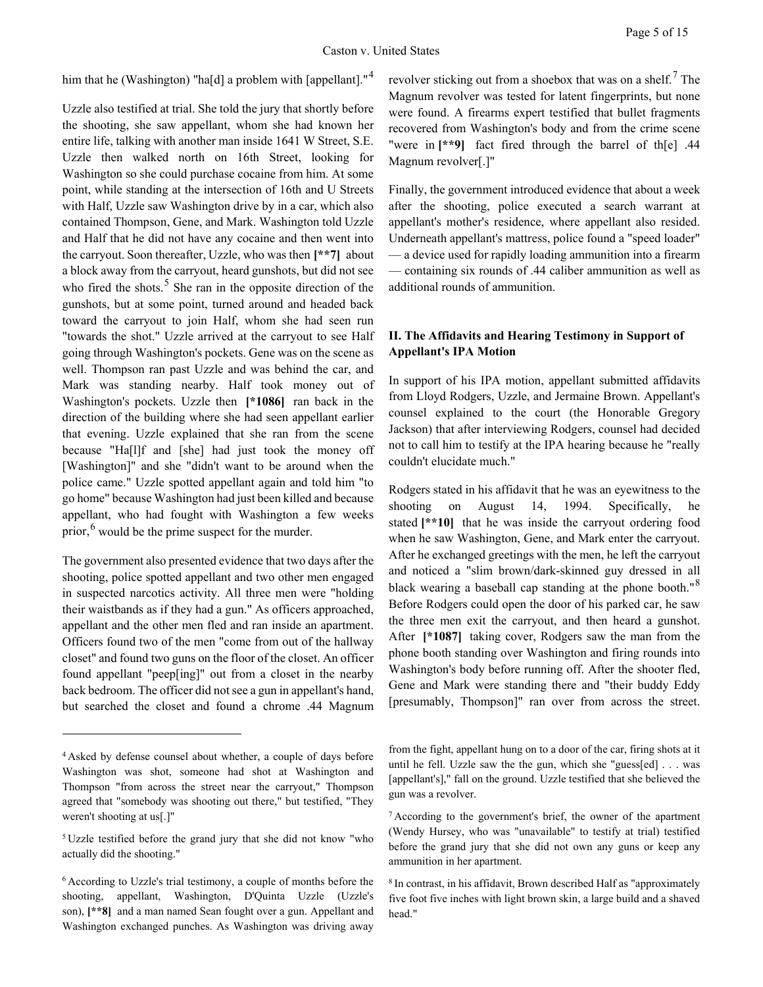him that he (Washington) "ha[d] a problem with [appellant]."<sup>[4](#page-4-0)</sup>

Uzzle also testified at trial. She told the jury that shortly before the shooting, she saw appellant, whom she had known her entire life, talking with another man inside 1641 W Street, S.E. Uzzle then walked north on 16th Street, looking for Washington so she could purchase cocaine from him. At some point, while standing at the intersection of 16th and U Streets with Half, Uzzle saw Washington drive by in a car, which also contained Thompson, Gene, and Mark. Washington told Uzzle and Half that he did not have any cocaine and then went into the carryout. Soon thereafter, Uzzle, who was then **[\*\*7]** about a block away from the carryout, heard gunshots, but did not see who fired the shots.<sup>[5](#page-4-1)</sup> She ran in the opposite direction of the gunshots, but at some point, turned around and headed back toward the carryout to join Half, whom she had seen run "towards the shot." Uzzle arrived at the carryout to see Half going through Washington's pockets. Gene was on the scene as well. Thompson ran past Uzzle and was behind the car, and Mark was standing nearby. Half took money out of Washington's pockets. Uzzle then **[\*1086]** ran back in the direction of the building where she had seen appellant earlier that evening. Uzzle explained that she ran from the scene because "Ha[l]f and [she] had just took the money off [Washington]" and she "didn't want to be around when the police came." Uzzle spotted appellant again and told him "to go home" because Washington had just been killed and because appellant, who had fought with Washington a few weeks prior,  $6$  would be the prime suspect for the murder.

The government also presented evidence that two days after the shooting, police spotted appellant and two other men engaged in suspected narcotics activity. All three men were "holding their waistbands as if they had a gun." As officers approached, appellant and the other men fled and ran inside an apartment. Officers found two of the men "come from out of the hallway closet" and found two guns on the floor of the closet. An officer found appellant "peep[ing]" out from a closet in the nearby back bedroom. The officer did not see a gun in appellant's hand, but searched the closet and found a chrome .44 Magnum

 $\overline{a}$ 

revolver sticking out from a shoebox that was on a shelf.<sup>[7](#page-4-3)</sup> The Magnum revolver was tested for latent fingerprints, but none were found. A firearms expert testified that bullet fragments recovered from Washington's body and from the crime scene "were in **[\*\*9]** fact fired through the barrel of th[e] .44 Magnum revolver[.]"

Finally, the government introduced evidence that about a week after the shooting, police executed a search warrant at appellant's mother's residence, where appellant also resided. Underneath appellant's mattress, police found a "speed loader" — a device used for rapidly loading ammunition into a firearm — containing six rounds of .44 caliber ammunition as well as additional rounds of ammunition.

## **II. The Affidavits and Hearing Testimony in Support of Appellant's IPA Motion**

In support of his IPA motion, appellant submitted affidavits from Lloyd Rodgers, Uzzle, and Jermaine Brown. Appellant's counsel explained to the court (the Honorable Gregory Jackson) that after interviewing Rodgers, counsel had decided not to call him to testify at the IPA hearing because he "really couldn't elucidate much."

Rodgers stated in his affidavit that he was an eyewitness to the shooting on August 14, 1994. Specifically, he stated **[\*\*10]** that he was inside the carryout ordering food when he saw Washington, Gene, and Mark enter the carryout. After he exchanged greetings with the men, he left the carryout and noticed a "slim brown/dark-skinned guy dressed in all black wearing a baseball cap standing at the phone booth."<sup>[8](#page-4-4)</sup> Before Rodgers could open the door of his parked car, he saw the three men exit the carryout, and then heard a gunshot. After **[\*1087]** taking cover, Rodgers saw the man from the phone booth standing over Washington and firing rounds into Washington's body before running off. After the shooter fled, Gene and Mark were standing there and "their buddy Eddy [presumably, Thompson]" ran over from across the street.

<span id="page-4-0"></span><sup>4</sup> Asked by defense counsel about whether, a couple of days before Washington was shot, someone had shot at Washington and Thompson "from across the street near the carryout," Thompson agreed that "somebody was shooting out there," but testified, "They weren't shooting at us[.]"

<span id="page-4-3"></span><span id="page-4-1"></span><sup>5</sup> Uzzle testified before the grand jury that she did not know "who actually did the shooting."

<span id="page-4-4"></span><span id="page-4-2"></span><sup>6</sup> According to Uzzle's trial testimony, a couple of months before the shooting, appellant, Washington, D'Quinta Uzzle (Uzzle's son), **[\*\*8]** and a man named Sean fought over a gun. Appellant and Washington exchanged punches. As Washington was driving away

from the fight, appellant hung on to a door of the car, firing shots at it until he fell. Uzzle saw the the gun, which she "guess[ed] . . . was [appellant's]," fall on the ground. Uzzle testified that she believed the gun was a revolver.

<sup>7</sup> According to the government's brief, the owner of the apartment (Wendy Hursey, who was "unavailable" to testify at trial) testified before the grand jury that she did not own any guns or keep any ammunition in her apartment.

<sup>8</sup> In contrast, in his affidavit, Brown described Half as "approximately five foot five inches with light brown skin, a large build and a shaved head."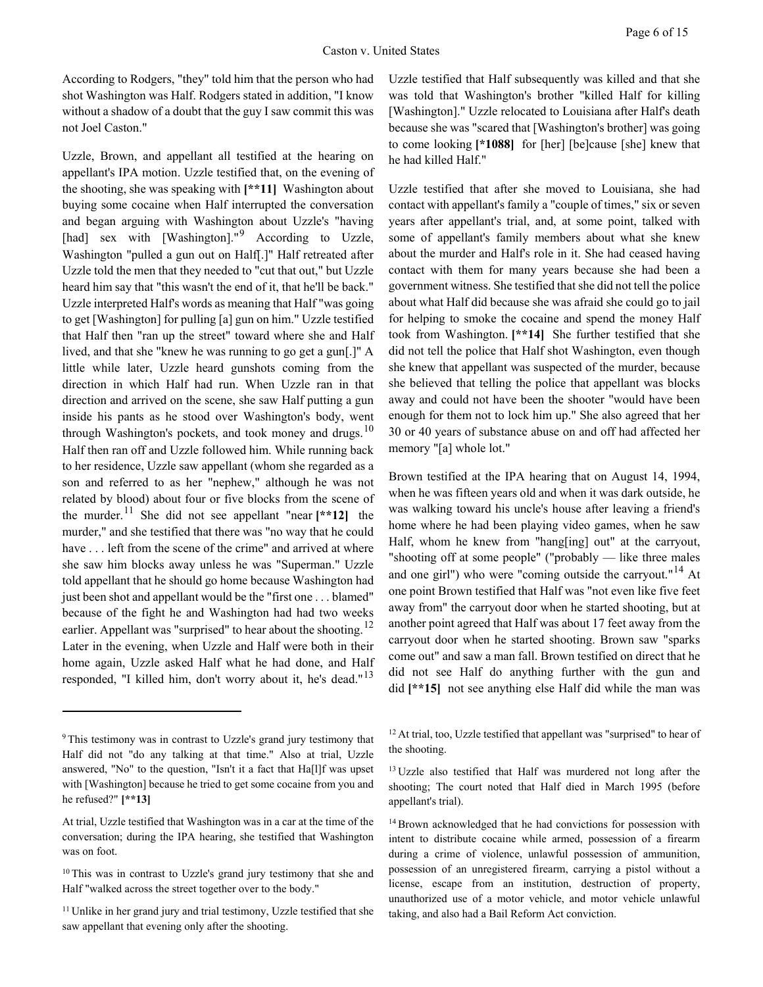According to Rodgers, "they" told him that the person who had shot Washington was Half. Rodgers stated in addition, "I know without a shadow of a doubt that the guy I saw commit this was not Joel Caston."

Uzzle, Brown, and appellant all testified at the hearing on appellant's IPA motion. Uzzle testified that, on the evening of the shooting, she was speaking with **[\*\*11]** Washington about buying some cocaine when Half interrupted the conversation and began arguing with Washington about Uzzle's "having [had] sex with [Washington]."<sup>[9](#page-5-0)</sup> According to Uzzle, Washington "pulled a gun out on Half[.]" Half retreated after Uzzle told the men that they needed to "cut that out," but Uzzle heard him say that "this wasn't the end of it, that he'll be back." Uzzle interpreted Half's words as meaning that Half "was going to get [Washington] for pulling [a] gun on him." Uzzle testified that Half then "ran up the street" toward where she and Half lived, and that she "knew he was running to go get a gun[.]" A little while later, Uzzle heard gunshots coming from the direction in which Half had run. When Uzzle ran in that direction and arrived on the scene, she saw Half putting a gun inside his pants as he stood over Washington's body, went through Washington's pockets, and took money and drugs.<sup>[10](#page-5-1)</sup> Half then ran off and Uzzle followed him. While running back to her residence, Uzzle saw appellant (whom she regarded as a son and referred to as her "nephew," although he was not related by blood) about four or five blocks from the scene of the murder.<sup>[11](#page-5-2)</sup> She did not see appellant "near  $[**12]$ " the murder," and she testified that there was "no way that he could have . . . left from the scene of the crime" and arrived at where she saw him blocks away unless he was "Superman." Uzzle told appellant that he should go home because Washington had just been shot and appellant would be the "first one . . . blamed" because of the fight he and Washington had had two weeks earlier. Appellant was "surprised" to hear about the shooting.<sup>[12](#page-5-3)</sup> Later in the evening, when Uzzle and Half were both in their home again, Uzzle asked Half what he had done, and Half responded, "I killed him, don't worry about it, he's dead."<sup>[13](#page-5-4)</sup>

 $\overline{a}$ 

Uzzle testified that Half subsequently was killed and that she was told that Washington's brother "killed Half for killing [Washington]." Uzzle relocated to Louisiana after Half's death because she was "scared that [Washington's brother] was going to come looking **[\*1088]** for [her] [be]cause [she] knew that he had killed Half."

Uzzle testified that after she moved to Louisiana, she had contact with appellant's family a "couple of times," six or seven years after appellant's trial, and, at some point, talked with some of appellant's family members about what she knew about the murder and Half's role in it. She had ceased having contact with them for many years because she had been a government witness. She testified that she did not tell the police about what Half did because she was afraid she could go to jail for helping to smoke the cocaine and spend the money Half took from Washington. **[\*\*14]** She further testified that she did not tell the police that Half shot Washington, even though she knew that appellant was suspected of the murder, because she believed that telling the police that appellant was blocks away and could not have been the shooter "would have been enough for them not to lock him up." She also agreed that her 30 or 40 years of substance abuse on and off had affected her memory "[a] whole lot."

Brown testified at the IPA hearing that on August 14, 1994, when he was fifteen years old and when it was dark outside, he was walking toward his uncle's house after leaving a friend's home where he had been playing video games, when he saw Half, whom he knew from "hang[ing] out" at the carryout, "shooting off at some people" ("probably — like three males and one girl") who were "coming outside the carryout."<sup>[14](#page-5-5)</sup> At one point Brown testified that Half was "not even like five feet away from" the carryout door when he started shooting, but at another point agreed that Half was about 17 feet away from the carryout door when he started shooting. Brown saw "sparks come out" and saw a man fall. Brown testified on direct that he did not see Half do anything further with the gun and did **[\*\*15]** not see anything else Half did while the man was

<span id="page-5-4"></span><span id="page-5-3"></span><span id="page-5-0"></span><sup>&</sup>lt;sup>9</sup> This testimony was in contrast to Uzzle's grand jury testimony that Half did not "do any talking at that time." Also at trial, Uzzle answered, "No" to the question, "Isn't it a fact that Ha[l]f was upset with [Washington] because he tried to get some cocaine from you and he refused?" **[\*\*13]** 

<span id="page-5-5"></span>At trial, Uzzle testified that Washington was in a car at the time of the conversation; during the IPA hearing, she testified that Washington was on foot.

<span id="page-5-1"></span><sup>&</sup>lt;sup>10</sup> This was in contrast to Uzzle's grand jury testimony that she and Half "walked across the street together over to the body."

<span id="page-5-2"></span><sup>&</sup>lt;sup>11</sup> Unlike in her grand jury and trial testimony, Uzzle testified that she saw appellant that evening only after the shooting.

<sup>&</sup>lt;sup>12</sup> At trial, too, Uzzle testified that appellant was "surprised" to hear of the shooting.

<sup>&</sup>lt;sup>13</sup> Uzzle also testified that Half was murdered not long after the shooting; The court noted that Half died in March 1995 (before appellant's trial).

<sup>&</sup>lt;sup>14</sup> Brown acknowledged that he had convictions for possession with intent to distribute cocaine while armed, possession of a firearm during a crime of violence, unlawful possession of ammunition, possession of an unregistered firearm, carrying a pistol without a license, escape from an institution, destruction of property, unauthorized use of a motor vehicle, and motor vehicle unlawful taking, and also had a Bail Reform Act conviction.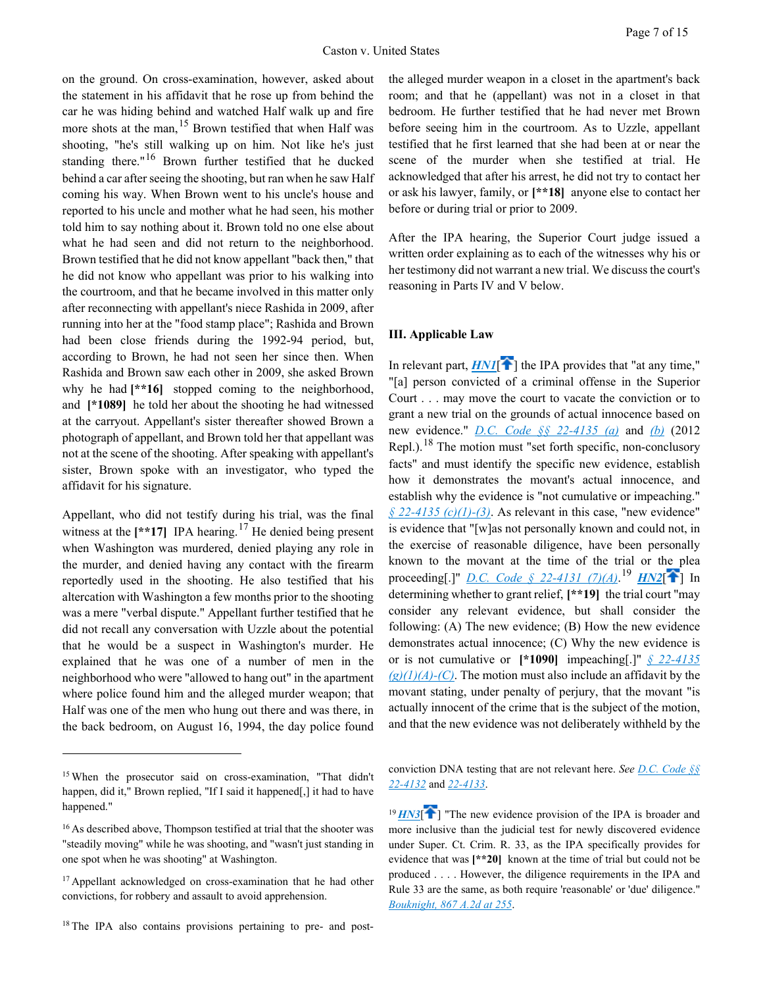on the ground. On cross-examination, however, asked about the statement in his affidavit that he rose up from behind the car he was hiding behind and watched Half walk up and fire more shots at the man,  $15$  Brown testified that when Half was shooting, "he's still walking up on him. Not like he's just standing there."<sup>[16](#page-6-4)</sup> Brown further testified that he ducked behind a car after seeing the shooting, but ran when he saw Half coming his way. When Brown went to his uncle's house and reported to his uncle and mother what he had seen, his mother told him to say nothing about it. Brown told no one else about what he had seen and did not return to the neighborhood. Brown testified that he did not know appellant "back then," that he did not know who appellant was prior to his walking into the courtroom, and that he became involved in this matter only after reconnecting with appellant's niece Rashida in 2009, after running into her at the "food stamp place"; Rashida and Brown had been close friends during the 1992-94 period, but, according to Brown, he had not seen her since then. When Rashida and Brown saw each other in 2009, she asked Brown why he had  $[**16]$  stopped coming to the neighborhood, and **[\*1089]** he told her about the shooting he had witnessed at the carryout. Appellant's sister thereafter showed Brown a photograph of appellant, and Brown told her that appellant was not at the scene of the shooting. After speaking with appellant's sister, Brown spoke with an investigator, who typed the affidavit for his signature.

Appellant, who did not testify during his trial, was the final witness at the  $[**17]$  $[**17]$  $[**17]$  IPA hearing.<sup>17</sup> He denied being present when Washington was murdered, denied playing any role in the murder, and denied having any contact with the firearm reportedly used in the shooting. He also testified that his altercation with Washington a few months prior to the shooting was a mere "verbal dispute." Appellant further testified that he did not recall any conversation with Uzzle about the potential that he would be a suspect in Washington's murder. He explained that he was one of a number of men in the neighborhood who were "allowed to hang out" in the apartment where police found him and the alleged murder weapon; that Half was one of the men who hung out there and was there, in the back bedroom, on August 16, 1994, the day police found

 $\overline{a}$ 

the alleged murder weapon in a closet in the apartment's back room; and that he (appellant) was not in a closet in that bedroom. He further testified that he had never met Brown before seeing him in the courtroom. As to Uzzle, appellant testified that he first learned that she had been at or near the scene of the murder when she testified at trial. He acknowledged that after his arrest, he did not try to contact her or ask his lawyer, family, or **[\*\*18]** anyone else to contact her before or during trial or prior to 2009.

After the IPA hearing, the Superior Court judge issued a written order explaining as to each of the witnesses why his or her testimony did not warrant a new trial. We discuss the court's reasoning in Parts IV and V below.

### <span id="page-6-0"></span>**III. Applicable Law**

In relevant part,  $HNI$ <sup> $\left\{\right\}$ </sup> the IPA provides that "at any time," "[a] person convicted of a criminal offense in the Superior Court . . . may move the court to vacate the conviction or to grant a new trial on the grounds of actual innocence based on new evidence." *[D.C. Code §§ 22-4135 \(a\)](https://advance.lexis.com/api/document?collection=statutes-legislation&id=urn:contentItem:5CC4-MNR1-6NSS-B3WX-00000-00&context=1000516)* and *[\(b\)](https://advance.lexis.com/api/document?collection=statutes-legislation&id=urn:contentItem:5CC4-MNR1-6NSS-B3WX-00000-00&context=1000516)* (2012 Repl.).<sup>[18](#page-6-6)</sup> The motion must "set forth specific, non-conclusory facts" and must identify the specific new evidence, establish how it demonstrates the movant's actual innocence, and establish why the evidence is "not cumulative or impeaching."  $\oint$  22-4135 (c)(1)-(3). As relevant in this case, "new evidence" is evidence that "[w]as not personally known and could not, in the exercise of reasonable diligence, have been personally known to the movant at the time of the trial or the plea proceeding[.[\]](#page-0-0)" *[D.C. Code § 22-4131 \(7\)\(A\)](https://advance.lexis.com/api/document?collection=statutes-legislation&id=urn:contentItem:5CC4-MNR1-6NSS-B3WS-00000-00&context=1000516)*.<sup>[19](#page-6-7)</sup> *[HN2](https://advance.lexis.com/api/document?collection=cases&id=urn:contentItem:5KTR-YXJ1-F04C-F09M-00000-00&context=1000516&link=clscc2)*[<sup>4</sup>] In determining whether to grant relief, **[\*\*19]** the trial court "may consider any relevant evidence, but shall consider the following: (A) The new evidence; (B) How the new evidence demonstrates actual innocence; (C) Why the new evidence is or is not cumulative or **[\*1090]** impeaching[.]" *[§ 22-4135](https://advance.lexis.com/api/document?collection=statutes-legislation&id=urn:contentItem:5CC4-MNR1-6NSS-B3WX-00000-00&context=1000516)  [\(g\)\(1\)\(A\)-\(C\)](https://advance.lexis.com/api/document?collection=statutes-legislation&id=urn:contentItem:5CC4-MNR1-6NSS-B3WX-00000-00&context=1000516)*. The motion must also include an affidavit by the movant stating, under penalty of perjury, that the movant "is actually innocent of the crime that is the subject of the motion, and that the new evidence was not deliberately withheld by the

<span id="page-6-1"></span>conviction DNA testing that are not relevant here. *See [D.C. Code §§](https://advance.lexis.com/api/document?collection=statutes-legislation&id=urn:contentItem:5CC4-MNR1-6NSS-B3WT-00000-00&context=1000516) [22-4132](https://advance.lexis.com/api/document?collection=statutes-legislation&id=urn:contentItem:5CC4-MNR1-6NSS-B3WT-00000-00&context=1000516)* and *[22-4133](https://advance.lexis.com/api/document?collection=statutes-legislation&id=urn:contentItem:5CC4-MNR1-6NSS-B3WV-00000-00&context=1000516)*.

<span id="page-6-2"></span><sup>19</sup> [HN3](https://advance.lexis.com/api/document?collection=cases&id=urn:contentItem:5KTR-YXJ1-F04C-F09M-00000-00&context=1000516&link=clscc3)<sup>[\[](#page-1-0)42]</sup> "The new evidence provision of the IPA is broader and more inclusive than the judicial test for newly discovered evidence under Super. Ct. Crim. R. 33, as the IPA specifically provides for evidence that was **[\*\*20]** known at the time of trial but could not be produced . . . . However, the diligence requirements in the IPA and Rule 33 are the same, as both require 'reasonable' or 'due' diligence." *[Bouknight, 867 A.2d at 255](https://advance.lexis.com/api/document?collection=cases&id=urn:contentItem:4FD6-KW10-0039-42WC-00000-00&context=1000516)*.

<span id="page-6-3"></span><sup>15</sup> When the prosecutor said on cross-examination, "That didn't happen, did it," Brown replied, "If I said it happened[,] it had to have happened."

<span id="page-6-7"></span><span id="page-6-4"></span><sup>&</sup>lt;sup>16</sup> As described above, Thompson testified at trial that the shooter was "steadily moving" while he was shooting, and "wasn't just standing in one spot when he was shooting" at Washington.

<span id="page-6-5"></span><sup>&</sup>lt;sup>17</sup> Appellant acknowledged on cross-examination that he had other convictions, for robbery and assault to avoid apprehension.

<span id="page-6-6"></span><sup>&</sup>lt;sup>18</sup> The IPA also contains provisions pertaining to pre- and post-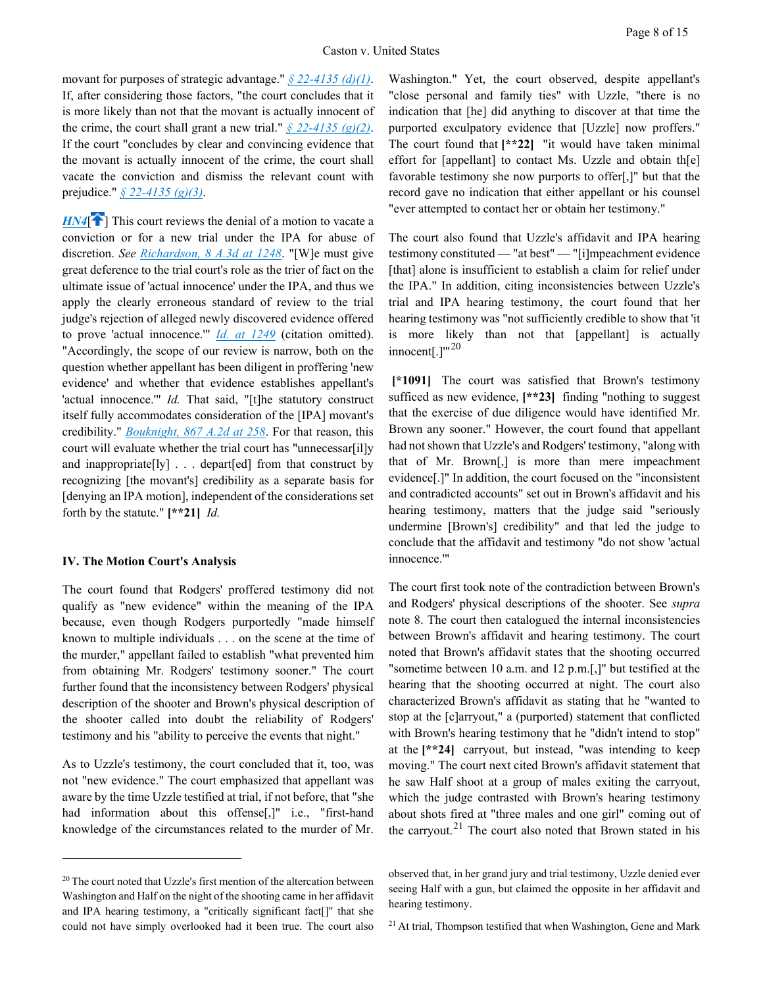movant for purposes of strategic advantage." *[§ 22-4135 \(d\)\(1\)](https://advance.lexis.com/api/document?collection=statutes-legislation&id=urn:contentItem:5CC4-MNR1-6NSS-B3WX-00000-00&context=1000516)*. If, after considering those factors, "the court concludes that it is more likely than not that the movant is actually innocent of the crime, the court shall grant a new trial."  $\frac{6}{22}$ -4135 (g)(2). If the court "concludes by clear and convincing evidence that the movant is actually innocent of the crime, the court shall vacate the conviction and dismiss the relevant count with prejudice." *[§ 22-4135 \(g\)\(3\)](https://advance.lexis.com/api/document?collection=statutes-legislation&id=urn:contentItem:5CC4-MNR1-6NSS-B3WX-00000-00&context=1000516)*.

<span id="page-7-0"></span> $H N4$ <sup>[\[](#page-1-1) $\uparrow$ </sup>] This court reviews the denial of a motion to vacate a conviction or for a new trial under the IPA for abuse of discretion. *See [Richardson, 8 A.3d at 1248](https://advance.lexis.com/api/document?collection=cases&id=urn:contentItem:51M0-2741-652G-W007-00000-00&context=1000516)*. "[W]e must give great deference to the trial court's role as the trier of fact on the ultimate issue of 'actual innocence' under the IPA, and thus we apply the clearly erroneous standard of review to the trial judge's rejection of alleged newly discovered evidence offered to prove 'actual innocence.'" *[Id.](https://advance.lexis.com/api/document?collection=cases&id=urn:contentItem:51M0-2741-652G-W007-00000-00&context=1000516) [at 1249](https://advance.lexis.com/api/document?collection=cases&id=urn:contentItem:51M0-2741-652G-W007-00000-00&context=1000516)* (citation omitted). "Accordingly, the scope of our review is narrow, both on the question whether appellant has been diligent in proffering 'new evidence' and whether that evidence establishes appellant's 'actual innocence.'" *Id.* That said, "[t]he statutory construct itself fully accommodates consideration of the [IPA] movant's credibility." *[Bouknight, 867 A.2d at 258](https://advance.lexis.com/api/document?collection=cases&id=urn:contentItem:4FD6-KW10-0039-42WC-00000-00&context=1000516)*. For that reason, this court will evaluate whether the trial court has "unnecessar[il]y and inappropriate[ly] . . . depart[ed] from that construct by recognizing [the movant's] credibility as a separate basis for [denying an IPA motion], independent of the considerations set forth by the statute." **[\*\*21]** *Id.*

### **IV. The Motion Court's Analysis**

 $\overline{a}$ 

The court found that Rodgers' proffered testimony did not qualify as "new evidence" within the meaning of the IPA because, even though Rodgers purportedly "made himself known to multiple individuals . . . on the scene at the time of the murder," appellant failed to establish "what prevented him from obtaining Mr. Rodgers' testimony sooner." The court further found that the inconsistency between Rodgers' physical description of the shooter and Brown's physical description of the shooter called into doubt the reliability of Rodgers' testimony and his "ability to perceive the events that night."

As to Uzzle's testimony, the court concluded that it, too, was not "new evidence." The court emphasized that appellant was aware by the time Uzzle testified at trial, if not before, that "she had information about this offense[,]" i.e., "first-hand knowledge of the circumstances related to the murder of Mr.

Washington." Yet, the court observed, despite appellant's "close personal and family ties" with Uzzle, "there is no indication that [he] did anything to discover at that time the purported exculpatory evidence that [Uzzle] now proffers." The court found that **[\*\*22]** "it would have taken minimal effort for [appellant] to contact Ms. Uzzle and obtain th[e] favorable testimony she now purports to offer[,]" but that the record gave no indication that either appellant or his counsel "ever attempted to contact her or obtain her testimony."

The court also found that Uzzle's affidavit and IPA hearing testimony constituted — "at best" — "[i]mpeachment evidence [that] alone is insufficient to establish a claim for relief under the IPA." In addition, citing inconsistencies between Uzzle's trial and IPA hearing testimony, the court found that her hearing testimony was "not sufficiently credible to show that 'it is more likely than not that [appellant] is actually innocent[.] $^{\prime\prime\prime}$ <sup>[20](#page-7-1)</sup>

**[\*1091]** The court was satisfied that Brown's testimony sufficed as new evidence, **[\*\*23]** finding "nothing to suggest that the exercise of due diligence would have identified Mr. Brown any sooner." However, the court found that appellant had not shown that Uzzle's and Rodgers' testimony, "along with that of Mr. Brown[,] is more than mere impeachment evidence[.]" In addition, the court focused on the "inconsistent and contradicted accounts" set out in Brown's affidavit and his hearing testimony, matters that the judge said "seriously undermine [Brown's] credibility" and that led the judge to conclude that the affidavit and testimony "do not show 'actual innocence.'"

The court first took note of the contradiction between Brown's and Rodgers' physical descriptions of the shooter. See *supra* note 8. The court then catalogued the internal inconsistencies between Brown's affidavit and hearing testimony. The court noted that Brown's affidavit states that the shooting occurred "sometime between 10 a.m. and 12 p.m.[,]" but testified at the hearing that the shooting occurred at night. The court also characterized Brown's affidavit as stating that he "wanted to stop at the [c]arryout," a (purported) statement that conflicted with Brown's hearing testimony that he "didn't intend to stop" at the **[\*\*24]** carryout, but instead, "was intending to keep moving." The court next cited Brown's affidavit statement that he saw Half shoot at a group of males exiting the carryout, which the judge contrasted with Brown's hearing testimony about shots fired at "three males and one girl" coming out of the carryout.<sup>[21](#page-7-2)</sup> The court also noted that Brown stated in his

<sup>21</sup> At trial, Thompson testified that when Washington, Gene and Mark

<span id="page-7-2"></span><span id="page-7-1"></span><sup>&</sup>lt;sup>20</sup> The court noted that Uzzle's first mention of the altercation between Washington and Half on the night of the shooting came in her affidavit and IPA hearing testimony, a "critically significant fact[]" that she could not have simply overlooked had it been true. The court also

observed that, in her grand jury and trial testimony, Uzzle denied ever seeing Half with a gun, but claimed the opposite in her affidavit and hearing testimony.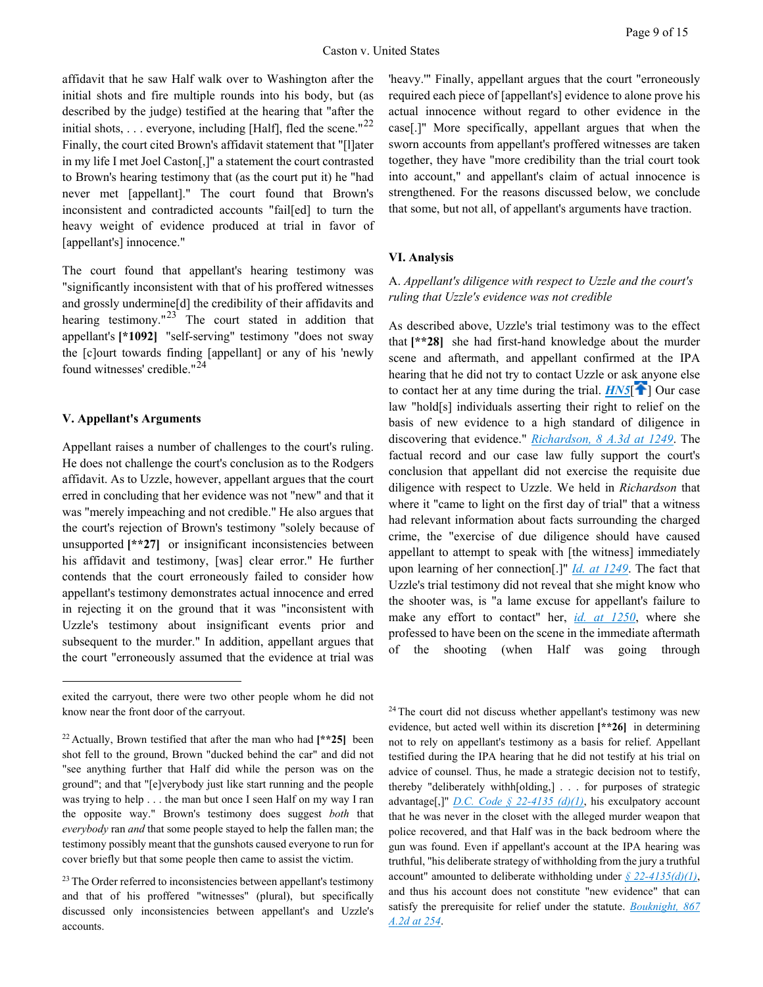affidavit that he saw Half walk over to Washington after the initial shots and fire multiple rounds into his body, but (as described by the judge) testified at the hearing that "after the initial shots,  $\dots$  everyone, including [Half], fled the scene."<sup>[22](#page-8-1)</sup> Finally, the court cited Brown's affidavit statement that "[l]ater in my life I met Joel Caston[,]" a statement the court contrasted to Brown's hearing testimony that (as the court put it) he "had never met [appellant]." The court found that Brown's inconsistent and contradicted accounts "fail[ed] to turn the heavy weight of evidence produced at trial in favor of [appellant's] innocence."

The court found that appellant's hearing testimony was "significantly inconsistent with that of his proffered witnesses and grossly undermine[d] the credibility of their affidavits and hearing testimony." $^{23}$  $^{23}$  $^{23}$  The court stated in addition that appellant's **[\*1092]** "self-serving" testimony "does not sway the [c]ourt towards finding [appellant] or any of his 'newly found witnesses' credible."[24](#page-8-3)

### **V. Appellant's Arguments**

 $\overline{a}$ 

Appellant raises a number of challenges to the court's ruling. He does not challenge the court's conclusion as to the Rodgers affidavit. As to Uzzle, however, appellant argues that the court erred in concluding that her evidence was not "new" and that it was "merely impeaching and not credible." He also argues that the court's rejection of Brown's testimony "solely because of unsupported  $[**27]$  or insignificant inconsistencies between his affidavit and testimony, [was] clear error." He further contends that the court erroneously failed to consider how appellant's testimony demonstrates actual innocence and erred in rejecting it on the ground that it was "inconsistent with Uzzle's testimony about insignificant events prior and subsequent to the murder." In addition, appellant argues that the court "erroneously assumed that the evidence at trial was

'heavy.'" Finally, appellant argues that the court "erroneously required each piece of [appellant's] evidence to alone prove his actual innocence without regard to other evidence in the case[.]" More specifically, appellant argues that when the sworn accounts from appellant's proffered witnesses are taken together, they have "more credibility than the trial court took into account," and appellant's claim of actual innocence is strengthened. For the reasons discussed below, we conclude that some, but not all, of appellant's arguments have traction.

## **VI. Analysis**

## A. *Appellant's diligence with respect to Uzzle and the court's ruling that Uzzle's evidence was not credible*

<span id="page-8-0"></span>As described above, Uzzle's trial testimony was to the effect that **[\*\*28]** she had first-hand knowledge about the murder scene and aftermath, and appellant confirmed at the IPA hearing that he did not try to contact Uzzle or ask anyone else to contact her at any time during the trial.  $H\overline{NS}$   $\cap$  Our case law "hold[s] individuals asserting their right to relief on the basis of new evidence to a high standard of diligence in discovering that evidence." *[Richardson, 8 A.3d at 1249](https://advance.lexis.com/api/document?collection=cases&id=urn:contentItem:51M0-2741-652G-W007-00000-00&context=1000516)*. The factual record and our case law fully support the court's conclusion that appellant did not exercise the requisite due diligence with respect to Uzzle. We held in *Richardson* that where it "came to light on the first day of trial" that a witness had relevant information about facts surrounding the charged crime, the "exercise of due diligence should have caused appellant to attempt to speak with [the witness] immediately upon learning of her connection[.]" *[Id.](https://advance.lexis.com/api/document?collection=cases&id=urn:contentItem:51M0-2741-652G-W007-00000-00&context=1000516) [at 1249](https://advance.lexis.com/api/document?collection=cases&id=urn:contentItem:51M0-2741-652G-W007-00000-00&context=1000516)*. The fact that Uzzle's trial testimony did not reveal that she might know who the shooter was, is "a lame excuse for appellant's failure to make any effort to contact" her, *[id. at 1250](https://advance.lexis.com/api/document?collection=cases&id=urn:contentItem:51M0-2741-652G-W007-00000-00&context=1000516)*, where she professed to have been on the scene in the immediate aftermath of the shooting (when Half was going through

<sup>24</sup> The court did not discuss whether appellant's testimony was new evidence, but acted well within its discretion **[\*\*26]** in determining not to rely on appellant's testimony as a basis for relief. Appellant testified during the IPA hearing that he did not testify at his trial on advice of counsel. Thus, he made a strategic decision not to testify, thereby "deliberately withh[olding,] . . . for purposes of strategic advantage[,]" *[D.C. Code § 22-4135 \(d\)\(1\)](https://advance.lexis.com/api/document?collection=statutes-legislation&id=urn:contentItem:5CC4-MNR1-6NSS-B3WX-00000-00&context=1000516)*, his exculpatory account that he was never in the closet with the alleged murder weapon that police recovered, and that Half was in the back bedroom where the gun was found. Even if appellant's account at the IPA hearing was truthful, "his deliberate strategy of withholding from the jury a truthful account" amounted to deliberate withholding under *[§ 22-4135\(d\)\(1\)](https://advance.lexis.com/api/document?collection=statutes-legislation&id=urn:contentItem:5CC4-MNR1-6NSS-B3WX-00000-00&context=1000516)*, and thus his account does not constitute "new evidence" that can satisfy the prerequisite for relief under the statute. *[Bouknight, 867](https://advance.lexis.com/api/document?collection=cases&id=urn:contentItem:4FD6-KW10-0039-42WC-00000-00&context=1000516)  [A.2d at 254](https://advance.lexis.com/api/document?collection=cases&id=urn:contentItem:4FD6-KW10-0039-42WC-00000-00&context=1000516)*.

<span id="page-8-3"></span>exited the carryout, there were two other people whom he did not know near the front door of the carryout.

<span id="page-8-1"></span><sup>22</sup> Actually, Brown testified that after the man who had **[\*\*25]** been shot fell to the ground, Brown "ducked behind the car" and did not "see anything further that Half did while the person was on the ground"; and that "[e]verybody just like start running and the people was trying to help . . . the man but once I seen Half on my way I ran the opposite way." Brown's testimony does suggest *both* that *everybody* ran *and* that some people stayed to help the fallen man; the testimony possibly meant that the gunshots caused everyone to run for cover briefly but that some people then came to assist the victim.

<span id="page-8-2"></span><sup>&</sup>lt;sup>23</sup> The Order referred to inconsistencies between appellant's testimony and that of his proffered "witnesses" (plural), but specifically discussed only inconsistencies between appellant's and Uzzle's accounts.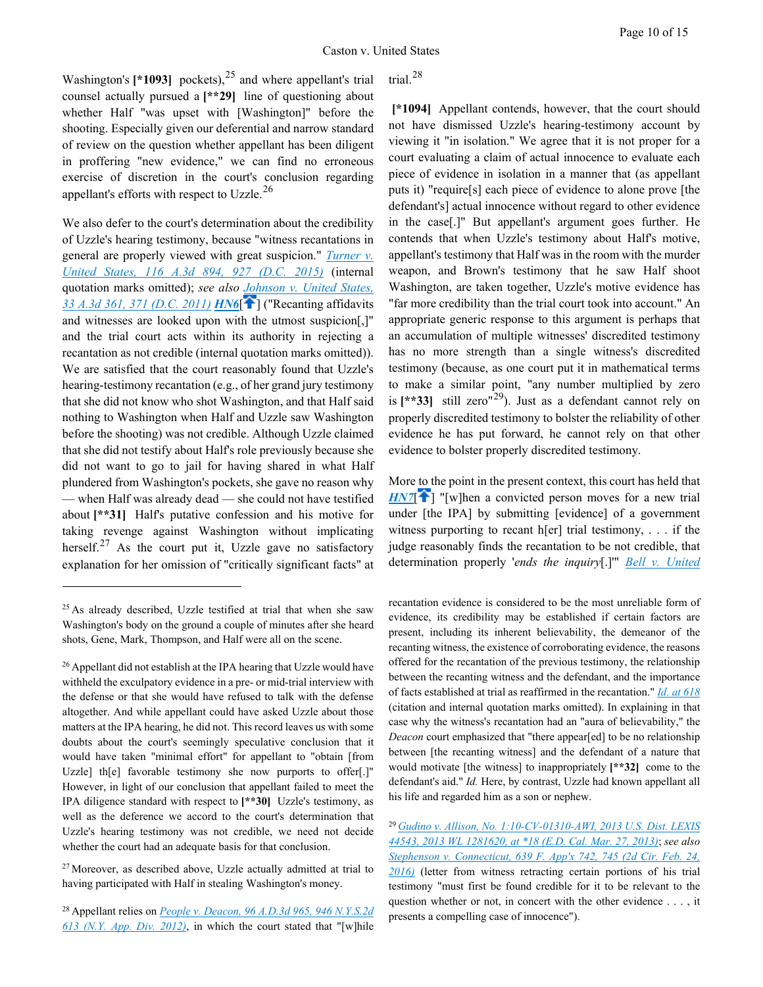Washington's  $[ *1093]$  pockets), <sup>[25](#page-9-2)</sup> and where appellant's trial counsel actually pursued a **[\*\*29]** line of questioning about whether Half "was upset with [Washington]" before the shooting. Especially given our deferential and narrow standard of review on the question whether appellant has been diligent in proffering "new evidence," we can find no erroneous exercise of discretion in the court's conclusion regarding appellant's efforts with respect to Uzzle.[26](#page-9-3)

<span id="page-9-0"></span>We also defer to the court's determination about the credibility of Uzzle's hearing testimony, because "witness recantations in general are properly viewed with great suspicion." *[Turner v.](https://advance.lexis.com/api/document?collection=cases&id=urn:contentItem:5G68-5V61-F04C-F001-00000-00&context=1000516)  [United States, 116 A.3d 894, 927 \(D.C. 2015\)](https://advance.lexis.com/api/document?collection=cases&id=urn:contentItem:5G68-5V61-F04C-F001-00000-00&context=1000516)* (internal quotation marks omitted); *see also [Johnson v. United States,](https://advance.lexis.com/api/document?collection=cases&id=urn:contentItem:54J4-7161-F04C-F021-00000-00&context=1000516)  [33 A.3d 361, 371 \(D.C. 2011\)](https://advance.lexis.com/api/document?collection=cases&id=urn:contentItem:54J4-7161-F04C-F021-00000-00&context=1000516) [HN6](https://advance.lexis.com/api/document?collection=cases&id=urn:contentItem:5KTR-YXJ1-F04C-F09M-00000-00&context=1000516&link=clscc6)*[\[](#page-1-3) ] ("Recanting affidavits and witnesses are looked upon with the utmost suspicion[,]" and the trial court acts within its authority in rejecting a recantation as not credible (internal quotation marks omitted)). We are satisfied that the court reasonably found that Uzzle's hearing-testimony recantation (e.g., of her grand jury testimony that she did not know who shot Washington, and that Half said nothing to Washington when Half and Uzzle saw Washington before the shooting) was not credible. Although Uzzle claimed that she did not testify about Half's role previously because she did not want to go to jail for having shared in what Half plundered from Washington's pockets, she gave no reason why — when Half was already dead — she could not have testified about [\*\*31] Half's putative confession and his motive for taking revenge against Washington without implicating herself. $27$  As the court put it, Uzzle gave no satisfactory explanation for her omission of "critically significant facts" at

 $\overline{a}$ 

<span id="page-9-6"></span><span id="page-9-4"></span><sup>27</sup> Moreover, as described above, Uzzle actually admitted at trial to having participated with Half in stealing Washington's money.

<span id="page-9-5"></span>28 Appellant relies on *[People v. Deacon, 96 A.D.3d 965, 946 N.Y.S.2d](https://advance.lexis.com/api/document?collection=cases&id=urn:contentItem:55XP-DXV1-F04J-73C1-00000-00&context=1000516)  [613 \(N.Y. App. Div. 2012\)](https://advance.lexis.com/api/document?collection=cases&id=urn:contentItem:55XP-DXV1-F04J-73C1-00000-00&context=1000516)*, in which the court stated that "[w]hile trial.[28](#page-9-5)

**[\*1094]** Appellant contends, however, that the court should not have dismissed Uzzle's hearing-testimony account by viewing it "in isolation." We agree that it is not proper for a court evaluating a claim of actual innocence to evaluate each piece of evidence in isolation in a manner that (as appellant puts it) "require[s] each piece of evidence to alone prove [the defendant's] actual innocence without regard to other evidence in the case[.]" But appellant's argument goes further. He contends that when Uzzle's testimony about Half's motive, appellant's testimony that Half was in the room with the murder weapon, and Brown's testimony that he saw Half shoot Washington, are taken together, Uzzle's motive evidence has "far more credibility than the trial court took into account." An appropriate generic response to this argument is perhaps that an accumulation of multiple witnesses' discredited testimony has no more strength than a single witness's discredited testimony (because, as one court put it in mathematical terms to make a similar point, "any number multiplied by zero is  $[**33]$  still zero<sup>"[29](#page-9-6)</sup>). Just as a defendant cannot rely on properly discredited testimony to bolster the reliability of other evidence he has put forward, he cannot rely on that other evidence to bolster properly discredited testimony.

<span id="page-9-1"></span>More to the point in the present context, this court has held that  $HNT$ <sup>[\[](#page-1-4)2]</sup> "[w]hen a convicted person moves for a new trial under [the IPA] by submitting [evidence] of a government witness purporting to recant h[er] trial testimony,  $\ldots$  if the judge reasonably finds the recantation to be not credible, that determination properly '*ends the inquiry*[.]'" *[Bell v. United](https://advance.lexis.com/api/document?collection=cases&id=urn:contentItem:4FY4-JBF0-0039-4340-00000-00&context=1000516)* 

recantation evidence is considered to be the most unreliable form of evidence, its credibility may be established if certain factors are present, including its inherent believability, the demeanor of the recanting witness, the existence of corroborating evidence, the reasons offered for the recantation of the previous testimony, the relationship between the recanting witness and the defendant, and the importance of facts established at trial as reaffirmed in the recantation." *[Id.](https://advance.lexis.com/api/document?collection=cases&id=urn:contentItem:55XP-DXV1-F04J-73C1-00000-00&context=1000516) [at 618](https://advance.lexis.com/api/document?collection=cases&id=urn:contentItem:55XP-DXV1-F04J-73C1-00000-00&context=1000516)* (citation and internal quotation marks omitted). In explaining in that case why the witness's recantation had an "aura of believability," the *Deacon* court emphasized that "there appear[ed] to be no relationship between [the recanting witness] and the defendant of a nature that would motivate [the witness] to inappropriately **[\*\*32]** come to the defendant's aid." *Id.* Here, by contrast, Uzzle had known appellant all his life and regarded him as a son or nephew.

<sup>29</sup>*[Gudino v. Allison, No. 1:10-CV-01310-AWI, 2013 U.S. Dist. LEXIS](https://advance.lexis.com/api/document?collection=cases&id=urn:contentItem:582H-PKF1-F04C-T338-00000-00&context=1000516)  [44543, 2013 WL 1281620, at \\*18 \(E.D. Cal. Mar. 27, 2013\)](https://advance.lexis.com/api/document?collection=cases&id=urn:contentItem:582H-PKF1-F04C-T338-00000-00&context=1000516)*; *see also [Stephenson v. Connecticut, 639 F. App'x 742, 745 \(2d Cir. Feb. 24,](https://advance.lexis.com/api/document?collection=cases&id=urn:contentItem:5J58-K611-F04K-J0ND-00000-00&context=1000516)  [2016\)](https://advance.lexis.com/api/document?collection=cases&id=urn:contentItem:5J58-K611-F04K-J0ND-00000-00&context=1000516)* (letter from witness retracting certain portions of his trial testimony "must first be found credible for it to be relevant to the question whether or not, in concert with the other evidence . . . , it presents a compelling case of innocence").

<span id="page-9-2"></span><sup>&</sup>lt;sup>25</sup> As already described, Uzzle testified at trial that when she saw Washington's body on the ground a couple of minutes after she heard shots, Gene, Mark, Thompson, and Half were all on the scene.

<span id="page-9-3"></span><sup>&</sup>lt;sup>26</sup> Appellant did not establish at the IPA hearing that Uzzle would have withheld the exculpatory evidence in a pre- or mid-trial interview with the defense or that she would have refused to talk with the defense altogether. And while appellant could have asked Uzzle about those matters at the IPA hearing, he did not. This record leaves us with some doubts about the court's seemingly speculative conclusion that it would have taken "minimal effort" for appellant to "obtain [from Uzzle] th[e] favorable testimony she now purports to offer[.]" However, in light of our conclusion that appellant failed to meet the IPA diligence standard with respect to **[\*\*30]** Uzzle's testimony, as well as the deference we accord to the court's determination that Uzzle's hearing testimony was not credible, we need not decide whether the court had an adequate basis for that conclusion.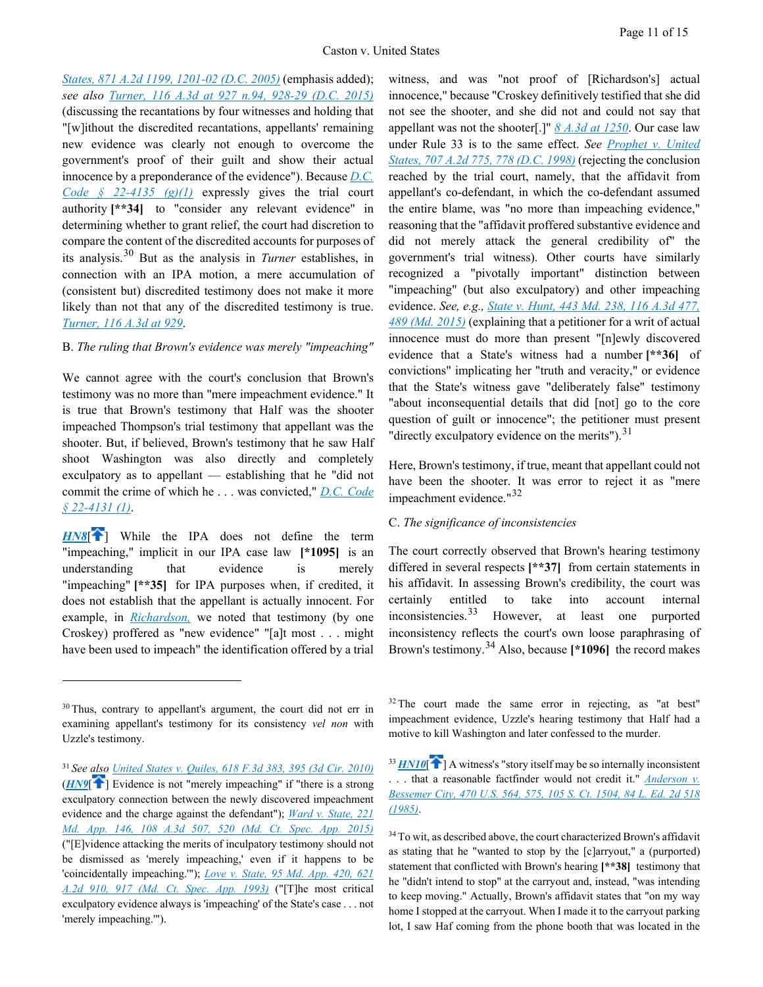*[States, 871 A.2d 1199, 1201-02 \(D.C. 2005\)](https://advance.lexis.com/api/document?collection=cases&id=urn:contentItem:4FY4-JBF0-0039-4340-00000-00&context=1000516)* (emphasis added); *see also [Turner, 116 A.3d at 927 n.94, 928-29 \(D.C.](https://advance.lexis.com/api/document?collection=cases&id=urn:contentItem:5G68-5V61-F04C-F001-00000-00&context=1000516) 2015)* (discussing the recantations by four witnesses and holding that "[w]ithout the discredited recantations, appellants' remaining new evidence was clearly not enough to overcome the government's proof of their guilt and show their actual innocence by a preponderance of the evidence"). Because *[D.C.](https://advance.lexis.com/api/document?collection=statutes-legislation&id=urn:contentItem:5CC4-MNR1-6NSS-B3WX-00000-00&context=1000516)  [Code § 22-4135 \(g\)\(1\)](https://advance.lexis.com/api/document?collection=statutes-legislation&id=urn:contentItem:5CC4-MNR1-6NSS-B3WX-00000-00&context=1000516)* expressly gives the trial court authority **[\*\*34]** to "consider any relevant evidence" in determining whether to grant relief, the court had discretion to compare the content of the discredited accounts for purposes of its analysis.[30](#page-10-3) But as the analysis in *Turner* establishes, in connection with an IPA motion, a mere accumulation of (consistent but) discredited testimony does not make it more likely than not that any of the discredited testimony is true. *[Turner, 116 A.3d at 929](https://advance.lexis.com/api/document?collection=cases&id=urn:contentItem:5G68-5V61-F04C-F001-00000-00&context=1000516)*.

### B. *The ruling that Brown's evidence was merely "impeaching"*

We cannot agree with the court's conclusion that Brown's testimony was no more than "mere impeachment evidence." It is true that Brown's testimony that Half was the shooter impeached Thompson's trial testimony that appellant was the shooter. But, if believed, Brown's testimony that he saw Half shoot Washington was also directly and completely exculpatory as to appellant — establishing that he "did not commit the crime of which he . . . was convicted," *[D.C. Code](https://advance.lexis.com/api/document?collection=statutes-legislation&id=urn:contentItem:5CC4-MNR1-6NSS-B3WS-00000-00&context=1000516)  [§ 22-4131 \(1\)](https://advance.lexis.com/api/document?collection=statutes-legislation&id=urn:contentItem:5CC4-MNR1-6NSS-B3WS-00000-00&context=1000516)*.

<span id="page-10-0"></span>**[HN8](https://advance.lexis.com/api/document?collection=cases&id=urn:contentItem:5KTR-YXJ1-F04C-F09M-00000-00&context=1000516&link=clscc8)<sup>[\[](#page-2-1)2]</sup>** While the IPA does not define the term "impeaching," implicit in our IPA case law **[\*1095]** is an understanding that evidence is merely "impeaching" [\*\*35] for IPA purposes when, if credited, it does not establish that the appellant is actually innocent. For example, in *[Richardson,](https://advance.lexis.com/api/document?collection=cases&id=urn:contentItem:51M0-2741-652G-W007-00000-00&context=1000516)* we noted that testimony (by one Croskey) proffered as "new evidence" "[a]t most . . . might have been used to impeach" the identification offered by a trial

 $\overline{a}$ 

witness, and was "not proof of [Richardson's] actual innocence," because "Croskey definitively testified that she did not see the shooter, and she did not and could not say that appellant was not the shooter[.]" *[8 A.3d at 1250](https://advance.lexis.com/api/document?collection=cases&id=urn:contentItem:51M0-2741-652G-W007-00000-00&context=1000516)*. Our case law under Rule 33 is to the same effect. *See [Prophet v. United](https://advance.lexis.com/api/document?collection=cases&id=urn:contentItem:3S48-NH40-0039-412D-00000-00&context=1000516)  [States, 707 A.2d 775, 778 \(D.C. 1998\)](https://advance.lexis.com/api/document?collection=cases&id=urn:contentItem:3S48-NH40-0039-412D-00000-00&context=1000516)* (rejecting the conclusion reached by the trial court, namely, that the affidavit from appellant's co-defendant, in which the co-defendant assumed the entire blame, was "no more than impeaching evidence," reasoning that the "affidavit proffered substantive evidence and did not merely attack the general credibility of" the government's trial witness). Other courts have similarly recognized a "pivotally important" distinction between "impeaching" (but also exculpatory) and other impeaching evidence. *See, e.g., [State v. Hunt, 443 Md. 238, 116 A.3d 477,](https://advance.lexis.com/api/document?collection=cases&id=urn:contentItem:5G7R-NN11-F04G-S003-00000-00&context=1000516)  [489 \(Md. 2015\)](https://advance.lexis.com/api/document?collection=cases&id=urn:contentItem:5G7R-NN11-F04G-S003-00000-00&context=1000516)* (explaining that a petitioner for a writ of actual innocence must do more than present "[n]ewly discovered evidence that a State's witness had a number **[\*\*36]** of convictions" implicating her "truth and veracity," or evidence that the State's witness gave "deliberately false" testimony "about inconsequential details that did [not] go to the core question of guilt or innocence"; the petitioner must present "directly exculpatory evidence on the merits"). $^{31}$  $^{31}$  $^{31}$ 

Here, Brown's testimony, if true, meant that appellant could not have been the shooter. It was error to reject it as "mere impeachment evidence."<sup>[32](#page-10-5)</sup>

### C. *The significance of inconsistencies*

The court correctly observed that Brown's hearing testimony differed in several respects **[\*\*37]** from certain statements in his affidavit. In assessing Brown's credibility, the court was certainly entitled to take into account internal inconsistencies.<sup>[33](#page-10-6)</sup> However, at least one purported inconsistency reflects the court's own loose paraphrasing of Brown's testimony.[34](#page-10-7) Also, because **[\*1096]** the record makes

<span id="page-10-5"></span><span id="page-10-3"></span> $30$  Thus, contrary to appellant's argument, the court did not err in examining appellant's testimony for its consistency *vel non* with Uzzle's testimony.

<span id="page-10-7"></span><span id="page-10-6"></span><span id="page-10-4"></span><span id="page-10-1"></span><sup>31</sup>*See also [United States v. Quiles, 618 F.3d 383, 395 \(3d Cir. 2010\)](https://advance.lexis.com/api/document?collection=cases&id=urn:contentItem:50T6-0HN1-652R-101T-00000-00&context=1000516)* (*[HN9](https://advance.lexis.com/api/document?collection=cases&id=urn:contentItem:5KTR-YXJ1-F04C-F09M-00000-00&context=1000516&link=clscc9)*[ [\]](#page-2-2) Evidence is not "merely impeaching" if "there is a strong exculpatory connection between the newly discovered impeachment evidence and the charge against the defendant"); *[Ward v. State, 221](https://advance.lexis.com/api/document?collection=cases&id=urn:contentItem:5F5Y-09D1-F04G-T007-00000-00&context=1000516)  [Md. App. 146, 108 A.3d 507, 520 \(Md. Ct. Spec. App. 2015\)](https://advance.lexis.com/api/document?collection=cases&id=urn:contentItem:5F5Y-09D1-F04G-T007-00000-00&context=1000516)* ("[E]vidence attacking the merits of inculpatory testimony should not be dismissed as 'merely impeaching,' even if it happens to be 'coincidentally impeaching.'"); *[Love v. State, 95 Md. App. 420, 621](https://advance.lexis.com/api/document?collection=cases&id=urn:contentItem:3RX4-8YY0-003G-252G-00000-00&context=1000516)  [A.2d 910, 917 \(Md. Ct. Spec. App. 1993\)](https://advance.lexis.com/api/document?collection=cases&id=urn:contentItem:3RX4-8YY0-003G-252G-00000-00&context=1000516)* ("[T]he most critical exculpatory evidence always is 'impeaching' of the State's case . . . not 'merely impeaching.'").

 $32$  The court made the same error in rejecting, as "at best" impeachment evidence, Uzzle's hearing testimony that Half had a motive to kill Washington and later confessed to the murder.

<span id="page-10-2"></span> $33$  [HN10](https://advance.lexis.com/api/document?collection=cases&id=urn:contentItem:5KTR-YXJ1-F04C-F09M-00000-00&context=1000516&link=clscc10)<sup> $\uparrow$ </sup>[\]](#page-2-3) A witness's "story itself may be so internally inconsistent . . . that a reasonable factfinder would not credit it." *[Anderson v.](https://advance.lexis.com/api/document?collection=cases&id=urn:contentItem:3S4X-C3J0-0039-N12D-00000-00&context=1000516)  [Bessemer City, 470 U.S. 564, 575, 105 S. Ct. 1504, 84 L. Ed. 2d 518](https://advance.lexis.com/api/document?collection=cases&id=urn:contentItem:3S4X-C3J0-0039-N12D-00000-00&context=1000516)  [\(1985\)](https://advance.lexis.com/api/document?collection=cases&id=urn:contentItem:3S4X-C3J0-0039-N12D-00000-00&context=1000516)*.

<sup>&</sup>lt;sup>34</sup> To wit, as described above, the court characterized Brown's affidavit as stating that he "wanted to stop by the [c]arryout," a (purported) statement that conflicted with Brown's hearing **[\*\*38]** testimony that he "didn't intend to stop" at the carryout and, instead, "was intending to keep moving." Actually, Brown's affidavit states that "on my way home I stopped at the carryout. When I made it to the carryout parking lot, I saw Haf coming from the phone booth that was located in the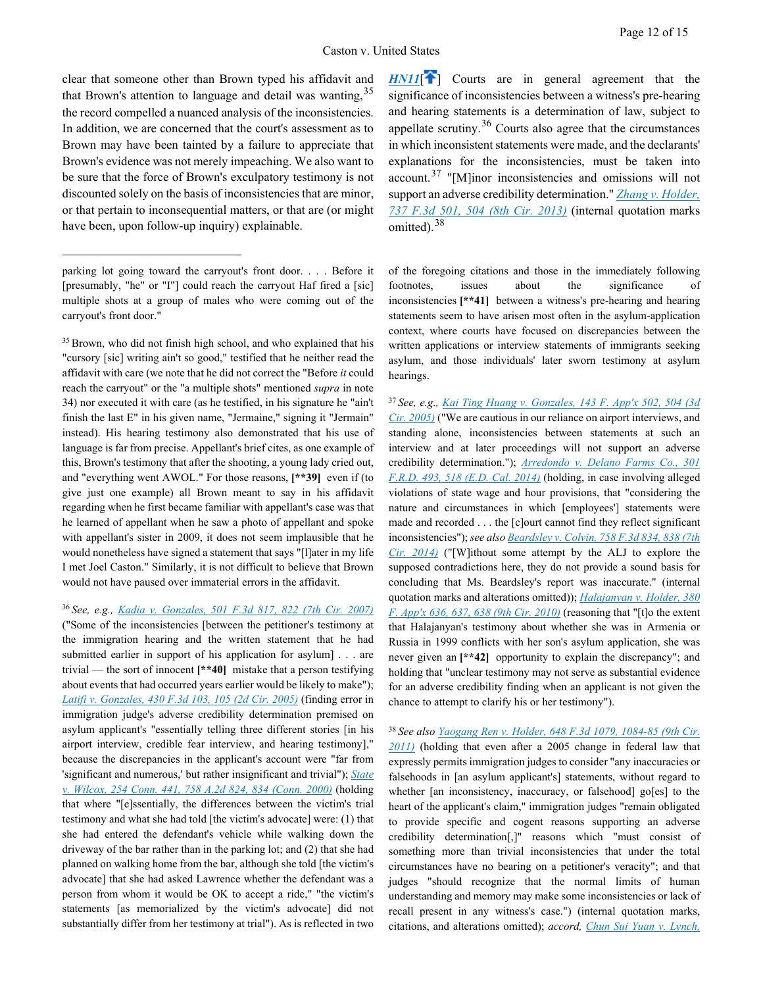clear that someone other than Brown typed his affidavit and that Brown's attention to language and detail was wanting, <sup>[35](#page-11-1)</sup> the record compelled a nuanced analysis of the inconsistencies. In addition, we are concerned that the court's assessment as to Brown may have been tainted by a failure to appreciate that Brown's evidence was not merely impeaching. We also want to be sure that the force of Brown's exculpatory testimony is not discounted solely on the basis of inconsistencies that are minor, or that pertain to inconsequential matters, or that are (or might have been, upon follow-up inquiry) explainable.

 $\overline{a}$ 

<span id="page-11-3"></span><span id="page-11-1"></span><sup>35</sup> Brown, who did not finish high school, and who explained that his "cursory [sic] writing ain't so good," testified that he neither read the affidavit with care (we note that he did not correct the "Before *it* could reach the carryout" or the "a multiple shots" mentioned *supra* in note 34) nor executed it with care (as he testified, in his signature he "ain't finish the last E" in his given name, "Jermaine," signing it "Jermain" instead). His hearing testimony also demonstrated that his use of language is far from precise. Appellant's brief cites, as one example of this, Brown's testimony that after the shooting, a young lady cried out, and "everything went AWOL." For those reasons, **[\*\*39]** even if (to give just one example) all Brown meant to say in his affidavit regarding when he first became familiar with appellant's case was that he learned of appellant when he saw a photo of appellant and spoke with appellant's sister in 2009, it does not seem implausible that he would nonetheless have signed a statement that says "[l]ater in my life I met Joel Caston." Similarly, it is not difficult to believe that Brown would not have paused over immaterial errors in the affidavit.

<span id="page-11-4"></span><span id="page-11-2"></span><sup>36</sup>*See, e.g., [Kadia v. Gonzales, 501 F.3d 817, 822 \(7th Cir. 2007\)](https://advance.lexis.com/api/document?collection=cases&id=urn:contentItem:4PKY-RXC0-TXFX-921B-00000-00&context=1000516)* ("Some of the inconsistencies [between the petitioner's testimony at the immigration hearing and the written statement that he had submitted earlier in support of his application for asylum] . . . are trivial — the sort of innocent **[\*\*40]** mistake that a person testifying about events that had occurred years earlier would be likely to make"); *[Latifi v. Gonzales, 430 F.3d 103, 105 \(2d Cir. 2005\)](https://advance.lexis.com/api/document?collection=cases&id=urn:contentItem:4HKF-6SG0-0038-X2VC-00000-00&context=1000516)* (finding error in immigration judge's adverse credibility determination premised on asylum applicant's "essentially telling three different stories [in his airport interview, credible fear interview, and hearing testimony]," because the discrepancies in the applicant's account were "far from 'significant and numerous,' but rather insignificant and trivial"); *[State](https://advance.lexis.com/api/document?collection=cases&id=urn:contentItem:414X-JJB0-0039-40YH-00000-00&context=1000516)  [v. Wilcox, 254 Conn. 441, 758 A.2d 824, 834 \(Conn. 2000\)](https://advance.lexis.com/api/document?collection=cases&id=urn:contentItem:414X-JJB0-0039-40YH-00000-00&context=1000516)* (holding that where "[e]ssentially, the differences between the victim's trial testimony and what she had told [the victim's advocate] were: (1) that she had entered the defendant's vehicle while walking down the driveway of the bar rather than in the parking lot; and (2) that she had planned on walking home from the bar, although she told [the victim's advocate] that she had asked Lawrence whether the defendant was a person from whom it would be OK to accept a ride," "the victim's statements [as memorialized by the victim's advocate] did not substantially differ from her testimony at trial"). As is reflected in two

<span id="page-11-0"></span>**[HN11](https://advance.lexis.com/api/document?collection=cases&id=urn:contentItem:5KTR-YXJ1-F04C-F09M-00000-00&context=1000516&link=clscc11)<sup>[\[](#page-2-4)4]</sup>** Courts are in general agreement that the significance of inconsistencies between a witness's pre-hearing and hearing statements is a determination of law, subject to appellate scrutiny.<sup>[36](#page-11-2)</sup> Courts also agree that the circumstances in which inconsistent statements were made, and the declarants' explanations for the inconsistencies, must be taken into account.<sup>[37](#page-11-3)</sup> "[M]inor inconsistencies and omissions will not support an adverse credibility determination." *[Zhang v. Holder,](https://advance.lexis.com/api/document?collection=cases&id=urn:contentItem:5B1M-6HN1-F04K-S1B8-00000-00&context=1000516)  [737 F.3d 501, 504 \(8th Cir. 2013\)](https://advance.lexis.com/api/document?collection=cases&id=urn:contentItem:5B1M-6HN1-F04K-S1B8-00000-00&context=1000516)* (internal quotation marks omitted).<sup>[38](#page-11-4)</sup>

of the foregoing citations and those in the immediately following footnotes, issues about the significance of inconsistencies **[\*\*41]** between a witness's pre-hearing and hearing statements seem to have arisen most often in the asylum-application context, where courts have focused on discrepancies between the written applications or interview statements of immigrants seeking asylum, and those individuals' later sworn testimony at asylum hearings.

<sup>37</sup>*See, e.g., [Kai Ting Huang v. Gonzales, 143 F. App'x 502, 504 \(3d](https://advance.lexis.com/api/document?collection=cases&id=urn:contentItem:4H4T-4FS0-0038-X4BS-00000-00&context=1000516)  [Cir. 2005\)](https://advance.lexis.com/api/document?collection=cases&id=urn:contentItem:4H4T-4FS0-0038-X4BS-00000-00&context=1000516)* ("We are cautious in our reliance on airport interviews, and standing alone, inconsistencies between statements at such an interview and at later proceedings will not support an adverse credibility determination."); *[Arredondo v. Delano Farms Co., 301](https://advance.lexis.com/api/document?collection=cases&id=urn:contentItem:5BK9-RKF1-F04C-T4KC-00000-00&context=1000516)  [F.R.D. 493, 518 \(E.D. Cal. 2014\)](https://advance.lexis.com/api/document?collection=cases&id=urn:contentItem:5BK9-RKF1-F04C-T4KC-00000-00&context=1000516)* (holding, in case involving alleged violations of state wage and hour provisions, that "considering the nature and circumstances in which [employees'] statements were made and recorded . . . the [c]ourt cannot find they reflect significant inconsistencies"); *see als[o Beardsley v. Colvin, 758 F.3d 834, 838 \(7th](https://advance.lexis.com/api/document?collection=cases&id=urn:contentItem:5CMM-6H51-F04K-R1P2-00000-00&context=1000516)  [Cir. 2014\)](https://advance.lexis.com/api/document?collection=cases&id=urn:contentItem:5CMM-6H51-F04K-R1P2-00000-00&context=1000516)* ("[W]ithout some attempt by the ALJ to explore the supposed contradictions here, they do not provide a sound basis for concluding that Ms. Beardsley's report was inaccurate." (internal quotation marks and alterations omitted)); *[Halajanyan v. Holder, 380](https://advance.lexis.com/api/document?collection=cases&id=urn:contentItem:7YJH-RDM1-2RHT-0062-00000-00&context=1000516)  [F. App'x 636, 637, 638 \(9th Cir. 2010\)](https://advance.lexis.com/api/document?collection=cases&id=urn:contentItem:7YJH-RDM1-2RHT-0062-00000-00&context=1000516)* (reasoning that "[t]o the extent that Halajanyan's testimony about whether she was in Armenia or Russia in 1999 conflicts with her son's asylum application, she was never given an **[\*\*42]** opportunity to explain the discrepancy"; and holding that "unclear testimony may not serve as substantial evidence for an adverse credibility finding when an applicant is not given the chance to attempt to clarify his or her testimony").

<sup>38</sup>*See als[o Yaogang Ren v. Holder, 648 F.3d 1079, 1084-85 \(9th Cir.](https://advance.lexis.com/api/document?collection=cases&id=urn:contentItem:830F-S4K1-652R-82BH-00000-00&context=1000516)  [2011\)](https://advance.lexis.com/api/document?collection=cases&id=urn:contentItem:830F-S4K1-652R-82BH-00000-00&context=1000516)* (holding that even after a 2005 change in federal law that expressly permits immigration judges to consider "any inaccuracies or falsehoods in [an asylum applicant's] statements, without regard to whether [an inconsistency, inaccuracy, or falsehood] go[es] to the heart of the applicant's claim," immigration judges "remain obligated to provide specific and cogent reasons supporting an adverse credibility determination[,]" reasons which "must consist of something more than trivial inconsistencies that under the total circumstances have no bearing on a petitioner's veracity"; and that judges "should recognize that the normal limits of human understanding and memory may make some inconsistencies or lack of recall present in any witness's case.") (internal quotation marks, citations, and alterations omitted); *accord, [Chun Sui Yuan v. Lynch,](https://advance.lexis.com/api/document?collection=cases&id=urn:contentItem:5K3Y-V101-F04K-R1W7-00000-00&context=1000516)* 

parking lot going toward the carryout's front door. . . . Before it [presumably, "he" or "I"] could reach the carryout Haf fired a [sic] multiple shots at a group of males who were coming out of the carryout's front door."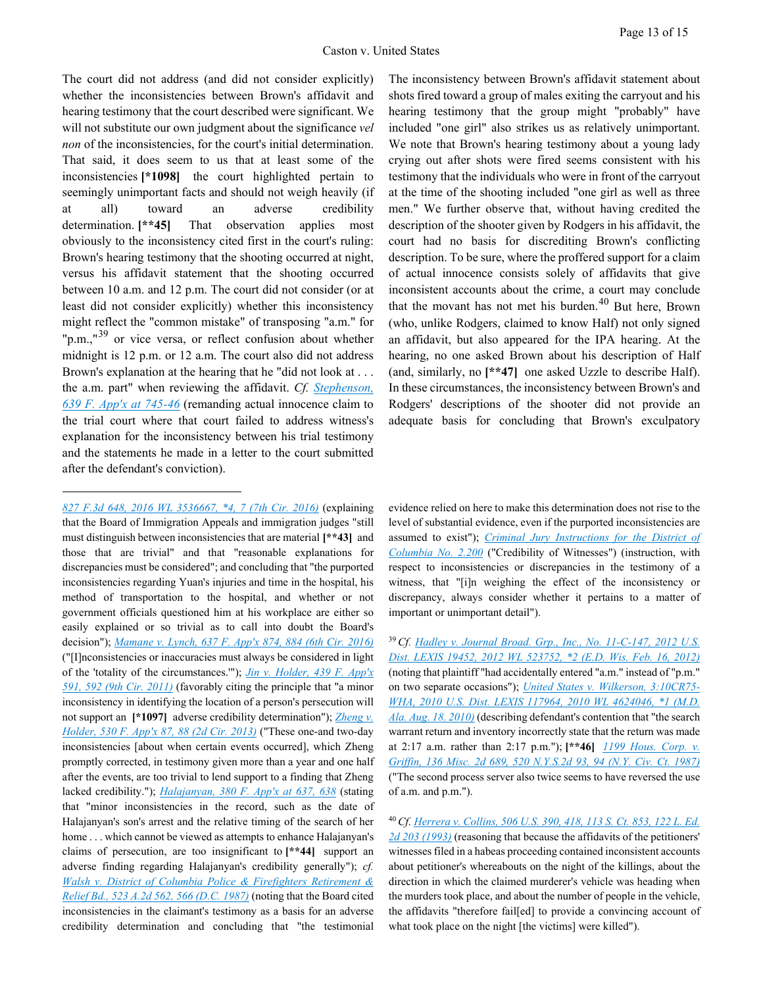The court did not address (and did not consider explicitly) whether the inconsistencies between Brown's affidavit and hearing testimony that the court described were significant. We will not substitute our own judgment about the significance *vel non* of the inconsistencies, for the court's initial determination. That said, it does seem to us that at least some of the inconsistencies **[\*1098]** the court highlighted pertain to seemingly unimportant facts and should not weigh heavily (if at all) toward an adverse credibility determination. **[\*\*45]** That observation applies most obviously to the inconsistency cited first in the court's ruling: Brown's hearing testimony that the shooting occurred at night, versus his affidavit statement that the shooting occurred between 10 a.m. and 12 p.m. The court did not consider (or at least did not consider explicitly) whether this inconsistency might reflect the "common mistake" of transposing "a.m." for "p.m.," $^{39}$  $^{39}$  $^{39}$  or vice versa, or reflect confusion about whether midnight is 12 p.m. or 12 a.m. The court also did not address Brown's explanation at the hearing that he "did not look at . . . the a.m. part" when reviewing the affidavit. *Cf. [Stephenson,](https://advance.lexis.com/api/document?collection=cases&id=urn:contentItem:5J58-K611-F04K-J0ND-00000-00&context=1000516)  [639 F. App'x at 745-46](https://advance.lexis.com/api/document?collection=cases&id=urn:contentItem:5J58-K611-F04K-J0ND-00000-00&context=1000516)* (remanding actual innocence claim to the trial court where that court failed to address witness's explanation for the inconsistency between his trial testimony and the statements he made in a letter to the court submitted after the defendant's conviction).

 $\overline{a}$ 

<span id="page-12-1"></span><span id="page-12-0"></span>*[827 F.3d 648, 2016 WL 3536667, \\*4, 7 \(7th Cir. 2016\)](https://advance.lexis.com/api/document?collection=cases&id=urn:contentItem:5K3Y-V101-F04K-R1W7-00000-00&context=1000516)* (explaining that the Board of Immigration Appeals and immigration judges "still must distinguish between inconsistencies that are material **[\*\*43]** and those that are trivial" and that "reasonable explanations for discrepancies must be considered"; and concluding that "the purported inconsistencies regarding Yuan's injuries and time in the hospital, his method of transportation to the hospital, and whether or not government officials questioned him at his workplace are either so easily explained or so trivial as to call into doubt the Board's decision"); *[Mamane v. Lynch, 637 F. App'x 874, 884 \(6th Cir. 2016\)](https://advance.lexis.com/api/document?collection=cases&id=urn:contentItem:5HT8-4TM1-F04K-P09P-00000-00&context=1000516)* ("[I]nconsistencies or inaccuracies must always be considered in light of the 'totality of the circumstances.'"); *[Jin v. Holder, 439 F. App'x](https://advance.lexis.com/api/document?collection=cases&id=urn:contentItem:82J4-1Y31-652R-8036-00000-00&context=1000516) [591, 592 \(9th Cir. 2011\)](https://advance.lexis.com/api/document?collection=cases&id=urn:contentItem:82J4-1Y31-652R-8036-00000-00&context=1000516)* (favorably citing the principle that "a minor inconsistency in identifying the location of a person's persecution will not support an **[\*1097]** adverse credibility determination"); *[Zheng v.](https://advance.lexis.com/api/document?collection=cases&id=urn:contentItem:58YS-02D1-F04K-J001-00000-00&context=1000516)  [Holder, 530 F. App'x 87,](https://advance.lexis.com/api/document?collection=cases&id=urn:contentItem:58YS-02D1-F04K-J001-00000-00&context=1000516) 88 (2d Cir. 2013)* ("These one-and two-day inconsistencies [about when certain events occurred], which Zheng promptly corrected, in testimony given more than a year and one half after the events, are too trivial to lend support to a finding that Zheng lacked credibility."); *[Halajanyan, 380 F. App'x at 637, 638](https://advance.lexis.com/api/document?collection=cases&id=urn:contentItem:7YJH-RDM1-2RHT-0062-00000-00&context=1000516)* (stating that "minor inconsistencies in the record, such as the date of Halajanyan's son's arrest and the relative timing of the search of her home . . . which cannot be viewed as attempts to enhance Halajanyan's claims of persecution, are too insignificant to **[\*\*44]** support an adverse finding regarding Halajanyan's credibility generally"); *cf. [Walsh v. District of Columbia Police & Firefighters Retirement &](https://advance.lexis.com/api/document?collection=cases&id=urn:contentItem:3RRT-99P0-003G-13R4-00000-00&context=1000516)  [Relief Bd., 523 A.2d 562, 566 \(D.C. 1987\)](https://advance.lexis.com/api/document?collection=cases&id=urn:contentItem:3RRT-99P0-003G-13R4-00000-00&context=1000516)* (noting that the Board cited inconsistencies in the claimant's testimony as a basis for an adverse credibility determination and concluding that "the testimonial

The inconsistency between Brown's affidavit statement about shots fired toward a group of males exiting the carryout and his hearing testimony that the group might "probably" have included "one girl" also strikes us as relatively unimportant. We note that Brown's hearing testimony about a young lady crying out after shots were fired seems consistent with his testimony that the individuals who were in front of the carryout at the time of the shooting included "one girl as well as three men." We further observe that, without having credited the description of the shooter given by Rodgers in his affidavit, the court had no basis for discrediting Brown's conflicting description. To be sure, where the proffered support for a claim of actual innocence consists solely of affidavits that give inconsistent accounts about the crime, a court may conclude that the movant has not met his burden.<sup>[40](#page-12-1)</sup> But here, Brown (who, unlike Rodgers, claimed to know Half) not only signed an affidavit, but also appeared for the IPA hearing. At the hearing, no one asked Brown about his description of Half (and, similarly, no **[\*\*47]** one asked Uzzle to describe Half). In these circumstances, the inconsistency between Brown's and Rodgers' descriptions of the shooter did not provide an adequate basis for concluding that Brown's exculpatory

evidence relied on here to make this determination does not rise to the level of substantial evidence, even if the purported inconsistencies are assumed to exist"); *[Criminal Jury Instructions for the District of](https://advance.lexis.com/api/document?collection=jury-instructions&id=urn:contentItem:55BD-X7C0-R03P-10WN-00000-00&context=1000516)  [Columbia No. 2.200](https://advance.lexis.com/api/document?collection=jury-instructions&id=urn:contentItem:55BD-X7C0-R03P-10WN-00000-00&context=1000516)* ("Credibility of Witnesses") (instruction, with respect to inconsistencies or discrepancies in the testimony of a witness, that "[i]n weighing the effect of the inconsistency or discrepancy, always consider whether it pertains to a matter of important or unimportant detail").

<sup>39</sup>*Cf. [Hadley v. Journal Broad. Grp., Inc., No. 11-C-147, 2012 U.S.](https://advance.lexis.com/api/document?collection=cases&id=urn:contentItem:5505-RNY1-F04F-K0H9-00000-00&context=1000516)  [Dist. LEXIS 19452, 2012 WL 523752, \\*2 \(E.D. Wis. Feb. 16, 2012\)](https://advance.lexis.com/api/document?collection=cases&id=urn:contentItem:5505-RNY1-F04F-K0H9-00000-00&context=1000516)* (noting that plaintiff "had accidentally entered "a.m." instead of "p.m." on two separate occasions"); *[United States v. Wilkerson, 3:10CR75-](https://advance.lexis.com/api/document?collection=cases&id=urn:contentItem:51DT-V5P1-652H-400N-00000-00&context=1000516) [WHA, 2010 U.S. Dist. LEXIS 117964, 2010 WL 4624046, \\*1 \(M.D.](https://advance.lexis.com/api/document?collection=cases&id=urn:contentItem:51DT-V5P1-652H-400N-00000-00&context=1000516)  [Ala. Aug. 18. 2010\)](https://advance.lexis.com/api/document?collection=cases&id=urn:contentItem:51DT-V5P1-652H-400N-00000-00&context=1000516)* (describing defendant's contention that "the search warrant return and inventory incorrectly state that the return was made at 2:17 a.m. rather than 2:17 p.m."); **[\*\*46]** *[1199 Hous. Corp. v.](https://advance.lexis.com/api/document?collection=cases&id=urn:contentItem:3S3K-2P70-003D-G3HR-00000-00&context=1000516)  [Griffin, 136 Misc. 2d 689, 520 N.Y.S.2d 93, 94 \(N.Y. Civ. Ct. 1987\)](https://advance.lexis.com/api/document?collection=cases&id=urn:contentItem:3S3K-2P70-003D-G3HR-00000-00&context=1000516)* ("The second process server also twice seems to have reversed the use of a.m. and p.m.").

<sup>40</sup>*Cf[. Herrera v. Collins, 506 U.S. 390, 418, 113 S. Ct. 853, 122 L. Ed.](https://advance.lexis.com/api/document?collection=cases&id=urn:contentItem:3S5B-0D10-003B-R504-00000-00&context=1000516)  [2d 203 \(1993\)](https://advance.lexis.com/api/document?collection=cases&id=urn:contentItem:3S5B-0D10-003B-R504-00000-00&context=1000516)* (reasoning that because the affidavits of the petitioners' witnesses filed in a habeas proceeding contained inconsistent accounts about petitioner's whereabouts on the night of the killings, about the direction in which the claimed murderer's vehicle was heading when the murders took place, and about the number of people in the vehicle, the affidavits "therefore fail[ed] to provide a convincing account of what took place on the night [the victims] were killed").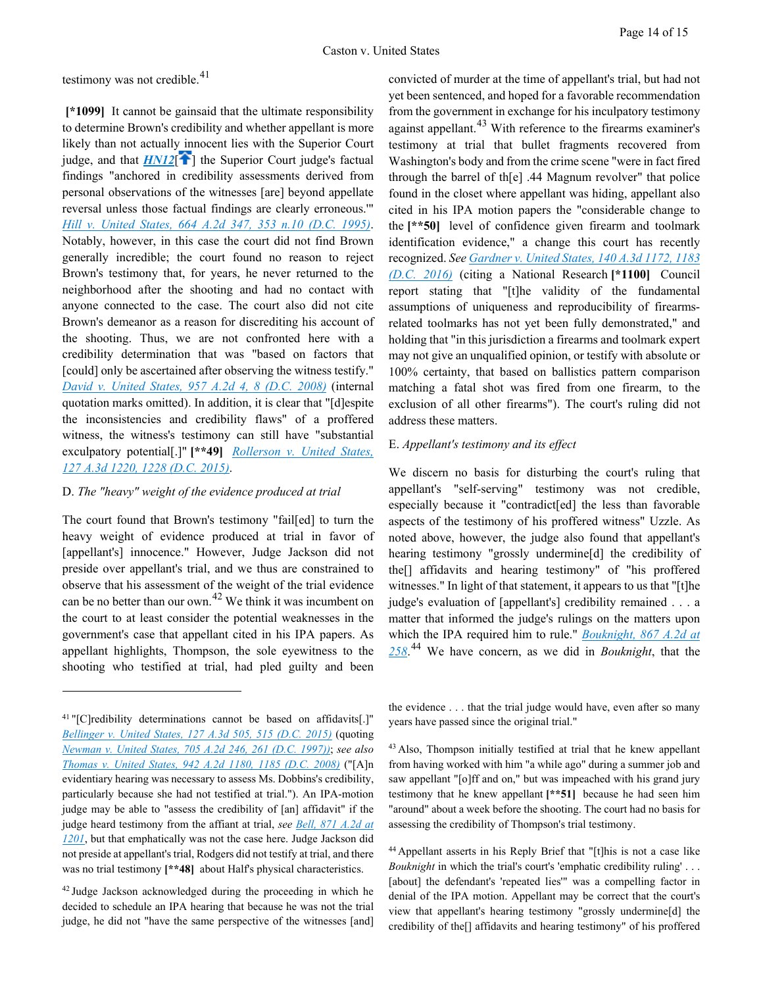testimony was not credible. $41$ 

<span id="page-13-0"></span>**[\*1099]** It cannot be gainsaid that the ultimate responsibility to determine Brown's credibility and whether appellant is more likely than not actually innocent lies with the Superior Court judge, and that  $HM12$ <sup>[\[](#page-2-5) $\uparrow$ </sup>] the Superior Court judge's factual findings "anchored in credibility assessments derived from personal observations of the witnesses [are] beyond appellate reversal unless those factual findings are clearly erroneous.'" *[Hill v. United States, 664 A.2d 347, 353 n.10 \(D.C. 1995\)](https://advance.lexis.com/api/document?collection=cases&id=urn:contentItem:3RRT-8M70-003G-10PN-00000-00&context=1000516)*. Notably, however, in this case the court did not find Brown generally incredible; the court found no reason to reject Brown's testimony that, for years, he never returned to the neighborhood after the shooting and had no contact with anyone connected to the case. The court also did not cite Brown's demeanor as a reason for discrediting his account of the shooting. Thus, we are not confronted here with a credibility determination that was "based on factors that [could] only be ascertained after observing the witness testify." *[David v. United States, 957 A.2d 4, 8 \(D.C. 2008\)](https://advance.lexis.com/api/document?collection=cases&id=urn:contentItem:4TGH-KVB0-TXFP-125D-00000-00&context=1000516)* (internal quotation marks omitted). In addition, it is clear that "[d]espite the inconsistencies and credibility flaws" of a proffered witness, the witness's testimony can still have "substantial exculpatory potential[.]" **[\*\*49]** *[Rollerson v. United States,](https://advance.lexis.com/api/document?collection=cases&id=urn:contentItem:5HMJ-K9V1-F04C-F01T-00000-00&context=1000516)  [127 A.3d 1220, 1228 \(D.C. 2015\)](https://advance.lexis.com/api/document?collection=cases&id=urn:contentItem:5HMJ-K9V1-F04C-F01T-00000-00&context=1000516)*.

### D. *The "heavy" weight of the evidence produced at trial*

The court found that Brown's testimony "fail[ed] to turn the heavy weight of evidence produced at trial in favor of [appellant's] innocence." However, Judge Jackson did not preside over appellant's trial, and we thus are constrained to observe that his assessment of the weight of the trial evidence can be no better than our own.<sup>[42](#page-13-2)</sup> We think it was incumbent on the court to at least consider the potential weaknesses in the government's case that appellant cited in his IPA papers. As appellant highlights, Thompson, the sole eyewitness to the shooting who testified at trial, had pled guilty and been

 $\overline{a}$ 

convicted of murder at the time of appellant's trial, but had not yet been sentenced, and hoped for a favorable recommendation from the government in exchange for his inculpatory testimony against appellant.<sup>[43](#page-13-3)</sup> With reference to the firearms examiner's testimony at trial that bullet fragments recovered from Washington's body and from the crime scene "were in fact fired through the barrel of th[e] .44 Magnum revolver" that police found in the closet where appellant was hiding, appellant also cited in his IPA motion papers the "considerable change to the **[\*\*50]** level of confidence given firearm and toolmark identification evidence," a change this court has recently recognized. *Se[e Gardner v. United States, 140 A.3d 1172, 1183](https://advance.lexis.com/api/document?collection=cases&id=urn:contentItem:5K33-TVC1-F04C-F024-00000-00&context=1000516)  [\(D.C. 2016\)](https://advance.lexis.com/api/document?collection=cases&id=urn:contentItem:5K33-TVC1-F04C-F024-00000-00&context=1000516)* (citing a National Research **[\*1100]** Council report stating that "[t]he validity of the fundamental assumptions of uniqueness and reproducibility of firearmsrelated toolmarks has not yet been fully demonstrated," and holding that "in this jurisdiction a firearms and toolmark expert may not give an unqualified opinion, or testify with absolute or 100% certainty, that based on ballistics pattern comparison matching a fatal shot was fired from one firearm, to the exclusion of all other firearms"). The court's ruling did not address these matters.

### E. *Appellant's testimony and its effect*

We discern no basis for disturbing the court's ruling that appellant's "self-serving" testimony was not credible, especially because it "contradict[ed] the less than favorable aspects of the testimony of his proffered witness" Uzzle. As noted above, however, the judge also found that appellant's hearing testimony "grossly undermine[d] the credibility of the[] affidavits and hearing testimony" of "his proffered witnesses." In light of that statement, it appears to us that "[t]he judge's evaluation of [appellant's] credibility remained . . . a matter that informed the judge's rulings on the matters upon which the IPA required him to rule." *[Bouknight, 867 A.2d at](https://advance.lexis.com/api/document?collection=cases&id=urn:contentItem:4FD6-KW10-0039-42WC-00000-00&context=1000516)  [258](https://advance.lexis.com/api/document?collection=cases&id=urn:contentItem:4FD6-KW10-0039-42WC-00000-00&context=1000516)*. [44](#page-13-4) We have concern, as we did in *Bouknight*, that the

the evidence . . . that the trial judge would have, even after so many years have passed since the original trial."

<sup>43</sup> Also, Thompson initially testified at trial that he knew appellant from having worked with him "a while ago" during a summer job and saw appellant "[o]ff and on," but was impeached with his grand jury testimony that he knew appellant **[\*\*51]** because he had seen him "around" about a week before the shooting. The court had no basis for assessing the credibility of Thompson's trial testimony.

44 Appellant asserts in his Reply Brief that "[t]his is not a case like *Bouknight* in which the trial's court's 'emphatic credibility ruling' . . . [about] the defendant's 'repeated lies'" was a compelling factor in denial of the IPA motion. Appellant may be correct that the court's view that appellant's hearing testimony "grossly undermine[d] the credibility of the[] affidavits and hearing testimony" of his proffered

<span id="page-13-3"></span><span id="page-13-1"></span><sup>41 &</sup>quot;[C]redibility determinations cannot be based on affidavits[.]" *[Bellinger v. United States, 127 A.3d 505, 515 \(D.C. 2015\)](https://advance.lexis.com/api/document?collection=cases&id=urn:contentItem:5HGY-6K11-F04C-F001-00000-00&context=1000516)* (quoting *[Newman v. United States, 705 A.2d 246, 261 \(D.C. 1997\)\)](https://advance.lexis.com/api/document?collection=cases&id=urn:contentItem:3RJN-3XF0-0039-434N-00000-00&context=1000516)*; *see also [Thomas v. United States, 942 A.2d 1180, 1185 \(D.C. 2008\)](https://advance.lexis.com/api/document?collection=cases&id=urn:contentItem:4RY8-F9Y0-TX4N-G041-00000-00&context=1000516)* ("[A]n evidentiary hearing was necessary to assess Ms. Dobbins's credibility, particularly because she had not testified at trial."). An IPA-motion judge may be able to "assess the credibility of [an] affidavit" if the judge heard testimony from the affiant at trial, *see [Bell, 871 A.2d at](https://advance.lexis.com/api/document?collection=cases&id=urn:contentItem:4FY4-JBF0-0039-4340-00000-00&context=1000516)  [1201](https://advance.lexis.com/api/document?collection=cases&id=urn:contentItem:4FY4-JBF0-0039-4340-00000-00&context=1000516)*, but that emphatically was not the case here. Judge Jackson did not preside at appellant's trial, Rodgers did not testify at trial, and there was no trial testimony **[\*\*48]** about Half's physical characteristics.

<span id="page-13-4"></span><span id="page-13-2"></span><sup>&</sup>lt;sup>42</sup> Judge Jackson acknowledged during the proceeding in which he decided to schedule an IPA hearing that because he was not the trial judge, he did not "have the same perspective of the witnesses [and]